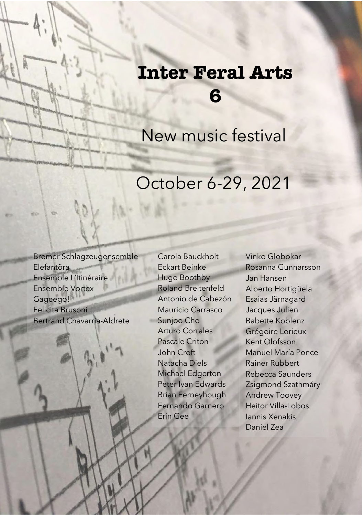# **Inter Feral Arts 6**

New music festival

# October 6-29, 2021

Bremer Schlagzeugensemble Elefantöra Ensemble L'Itinéraire Ensemble Vortex Gageego! Felicita Brusoni Bertrand Chavarria-Aldrete

À

Carola Bauckholt Eckart Beinke Hugo Boothby Roland Breitenfeld Antonio de Cabezón Mauricio Carrasco Sunjoo Cho Arturo Corrales Pascale Criton John Croft Natacha Diels Michael Edgerton Peter Ivan Edwards Brian Ferneyhough Fernando Garnero Erin Gee

Vinko Globokar Rosanna Gunnarsson Jan Hansen Alberto Hortigüela Esaias Järnagard Jacques Julien Babette Koblenz Grégoire Lorieux Kent Olofsson Manuel María Ponce Rainer Rubbert Rebecca Saunders Zsigmond Szathmáry Andrew Toovey Heitor Villa-Lobos Iannis Xenakis Daniel Zea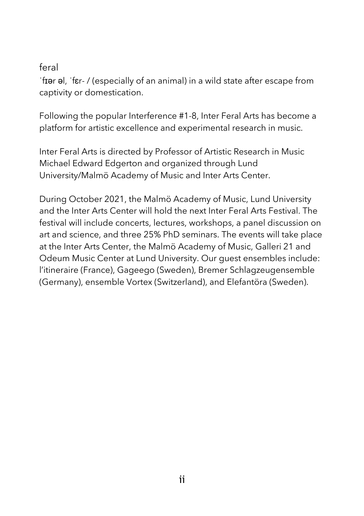#### feral

ˈfɪər əl, ˈfɛr- / (especially of an animal) in a wild state after escape from captivity or domestication.

Following the popular Interference #1-8, Inter Feral Arts has become a platform for artistic excellence and experimental research in music.

Inter Feral Arts is directed by Professor of Artistic Research in Music Michael Edward Edgerton and organized through Lund University/Malmö Academy of Music and Inter Arts Center.

During October 2021, the Malmö Academy of Music, Lund University and the Inter Arts Center will hold the next Inter Feral Arts Festival. The festival will include concerts, lectures, workshops, a panel discussion on art and science, and three 25% PhD seminars. The events will take place at the Inter Arts Center, the Malmö Academy of Music, Galleri 21 and Odeum Music Center at Lund University. Our guest ensembles include: l'itineraire (France), Gageego (Sweden), Bremer Schlagzeugensemble (Germany), ensemble Vortex (Switzerland), and Elefantöra (Sweden).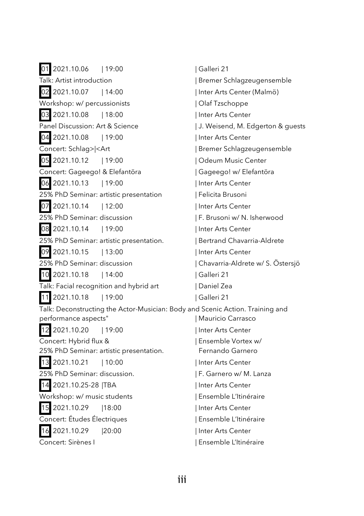01 2021.10.06 | 19:00 | Galleri 21 Talk: Artist introduction | Bremer Schlagzeugensemble 02 2021.10.07 | 14:00 | Inter Arts Center (Malmö) Workshop: w/ percussionists | Olaf Tzschoppe 03 2021.10.08 | 18:00 | Inter Arts Center Panel Discussion: Art & Science | J. Weisend, M. Edgerton & quests 04 2021.10.08 | 19:00 | Inter Arts Center Concert: Schlag>|<Art | Bremer Schlagzeugensemble 05 2021.10.12 | 19:00 | Odeum Music Center Concert: Gageego! & Elefantöra | Gageego! w/ Elefantöra 06 2021.10.13 | 19:00 | Inter Arts Center 25% PhD Seminar: artistic presentation | Felicita Brusoni 07 2021.10.14 | 12:00 | Inter Arts Center 25% PhD Seminar: discussion | F. Brusoni w/ N. Isherwood 08 2021.10.14 | 19:00 | Inter Arts Center 25% PhD Seminar: artistic presentation. | Bertrand Chavarria-Aldrete 09 2021.10.15 | 13:00 | Inter Arts Center 25% PhD Seminar: discussion | Chavarria-Aldrete w/ S. Östersjö 10 2021.10.18 | 14:00 | Galleri 21 Talk: Facial recognition and hybrid art | Daniel Zea 11 2021.10.18 | 19:00 | Galleri 21 Talk: Deconstructing the Actor-Musician: Body and Scenic Action. Training and performance aspects" | Mauricio Carrasco 12 2021.10.20 | 19:00 | Inter Arts Center Concert: Hybrid flux & | Ensemble Vortex w/ 25% PhD Seminar: artistic presentation. Fernando Garnero 13 2021.10.21 | 10:00 | Inter Arts Center 25% PhD Seminar: discussion. | F. Garnero w/ M. Lanza 14 2021.10.25-28 |TBA | Inter Arts Center Workshop: w/ music students | Ensemble L'Itinéraire 15 2021.10.29 |18:00 | Inter Arts Center Concert: Études Électriques | Ensemble L'Itinéraire 16 2021.10.29 |20:00 | Inter Arts Center Concert: Sirènes I | Ensemble L'Itinéraire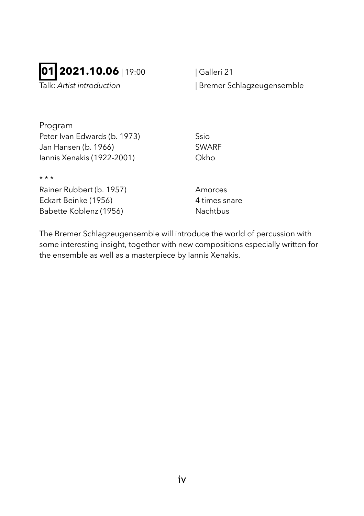## **01 2021.10.06** | 19:00 | Galleri 21

Talk: *Artist introduction* | Bremer Schlagzeugensemble

Program Peter Ivan Edwards (b. 1973) Ssio Jan Hansen (b. 1966) SWARF Iannis Xenakis (1922-2001) Okho

Rainer Rubbert (b. 1957) Amorces Eckart Beinke (1956) 4 times snare Babette Koblenz (1956) Nachtbus

\* \* \*

The Bremer Schlagzeugensemble will introduce the world of percussion with some interesting insight, together with new compositions especially written for the ensemble as well as a masterpiece by Iannis Xenakis.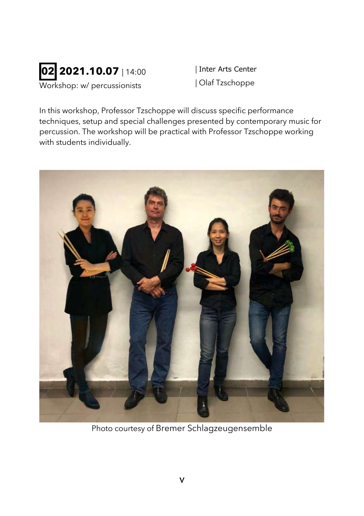

| Inter Arts Center | Olaf Tzschoppe

In this workshop, Professor Tzschoppe will discuss specific performance techniques, setup and special challenges presented by contemporary music for percussion. The workshop will be practical with Professor Tzschoppe working with students individually.



Photo courtesy of Bremer Schlagzeugensemble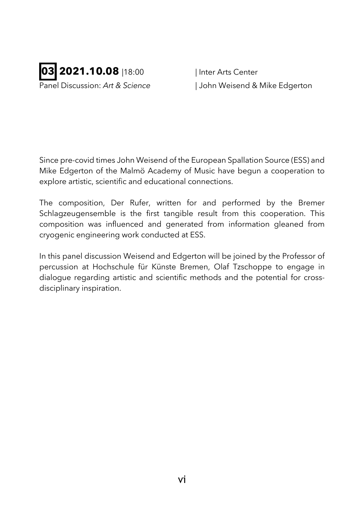

Panel Discussion: *Art & Science* | John Weisend & Mike Edgerton

Since pre-covid times John Weisend of the European Spallation Source (ESS) and Mike Edgerton of the Malmö Academy of Music have begun a cooperation to explore artistic, scientific and educational connections.

The composition, Der Rufer, written for and performed by the Bremer Schlagzeugensemble is the first tangible result from this cooperation. This composition was influenced and generated from information gleaned from cryogenic engineering work conducted at ESS.

In this panel discussion Weisend and Edgerton will be joined by the Professor of percussion at Hochschule für Künste Bremen, Olaf Tzschoppe to engage in dialogue regarding artistic and scientific methods and the potential for crossdisciplinary inspiration.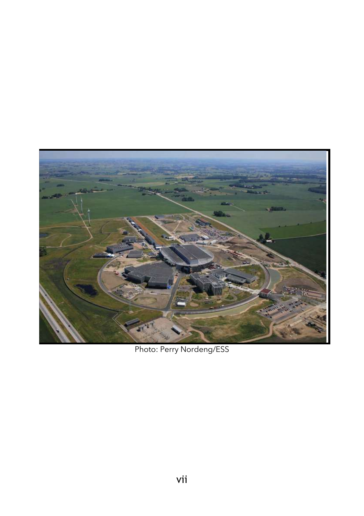

Photo: Perry Nordeng/ESS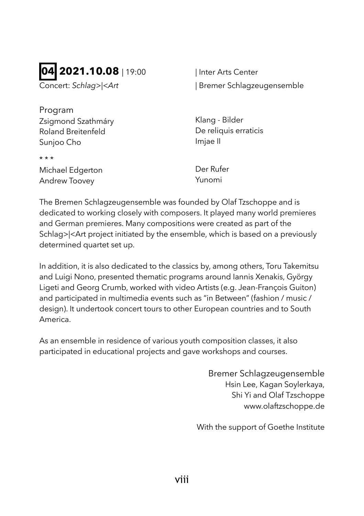## **04 2021.10.08** 19:00

Concert: *Schlag>|<Art* 

| Inter Arts Center | Bremer Schlagzeugensemble

Program Zsigmond Szathmáry Roland Breitenfeld Sunjoo Cho

Klang - Bilder De reliquis erraticis Imjae II

Michael Edgerton Andrew Toovey

\* \* \*

Der Rufer Yunomi

The Bremen Schlagzeugensemble was founded by Olaf Tzschoppe and is dedicated to working closely with composers. It played many world premieres and German premieres. Many compositions were created as part of the Schlag>|<Art project initiated by the ensemble, which is based on a previously determined quartet set up.

In addition, it is also dedicated to the classics by, among others, Toru Takemitsu and Luigi Nono, presented thematic programs around Iannis Xenakis, György Ligeti and Georg Crumb, worked with video Artists (e.g. Jean-François Guiton) and participated in multimedia events such as "in Between" (fashion / music / design). It undertook concert tours to other European countries and to South America.

As an ensemble in residence of various youth composition classes, it also participated in educational projects and gave workshops and courses.

> Bremer Schlagzeugensemble Hsin Lee, Kagan Soylerkaya, Shi Yi and Olaf Tzschoppe www.olaftzschoppe.de

With the support of Goethe Institute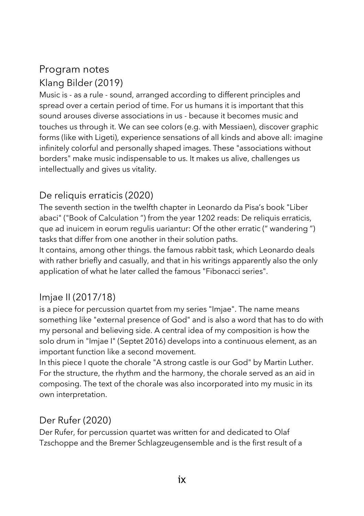### Program notes Klang Bilder (2019)

Music is - as a rule - sound, arranged according to different principles and spread over a certain period of time. For us humans it is important that this sound arouses diverse associations in us - because it becomes music and touches us through it. We can see colors (e.g. with Messiaen), discover graphic forms (like with Ligeti), experience sensations of all kinds and above all: imagine infinitely colorful and personally shaped images. These "associations without borders" make music indispensable to us. It makes us alive, challenges us intellectually and gives us vitality.

#### De reliquis erraticis (2020)

The seventh section in the twelfth chapter in Leonardo da Pisa's book "Liber abaci" ("Book of Calculation ") from the year 1202 reads: De reliquis erraticis, que ad inuicem in eorum regulis uariantur: Of the other erratic (" wandering ") tasks that differ from one another in their solution paths.

It contains, among other things. the famous rabbit task, which Leonardo deals with rather briefly and casually, and that in his writings apparently also the only application of what he later called the famous "Fibonacci series".

#### Imjae II (2017/18)

is a piece for percussion quartet from my series "Imjae". The name means something like "external presence of God" and is also a word that has to do with my personal and believing side. A central idea of my composition is how the solo drum in "Imjae I" (Septet 2016) develops into a continuous element, as an important function like a second movement.

In this piece I quote the chorale "A strong castle is our God" by Martin Luther. For the structure, the rhythm and the harmony, the chorale served as an aid in composing. The text of the chorale was also incorporated into my music in its own interpretation.

#### Der Rufer (2020)

Der Rufer, for percussion quartet was written for and dedicated to Olaf Tzschoppe and the Bremer Schlagzeugensemble and is the first result of a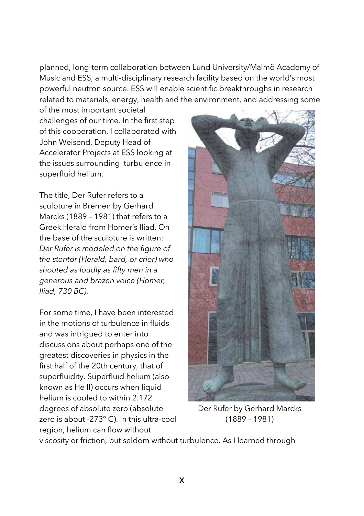planned, long-term collaboration between Lund University/Malmö Academy of Music and ESS, a multi-disciplinary research facility based on the world's most powerful neutron source. ESS will enable scientific breakthroughs in research related to materials, energy, health and the environment, and addressing some

of the most important societal challenges of our time. In the first step of this cooperation, I collaborated with John Weisend, Deputy Head of Accelerator Projects at ESS looking at the issues surrounding turbulence in superfluid helium.

The title, Der Rufer refers to a sculpture in Bremen by Gerhard Marcks (1889 – 1981) that refers to a Greek Herald from Homer's Iliad. On the base of the sculpture is written: *Der Rufer is modeled on the figure of the stentor (Herald, bard, or crier) who shouted as loudly as fifty men in a generous and brazen voice (Homer, Iliad, 730 BC).*

For some time, I have been interested in the motions of turbulence in fluids and was intrigued to enter into discussions about perhaps one of the greatest discoveries in physics in the first half of the 20th century, that of superfluidity. Superfluid helium (also known as He II) occurs when liquid helium is cooled to within 2.172 degrees of absolute zero (absolute zero is about -273° C). In this ultra-cool region, helium can flow without



Der Rufer by Gerhard Marcks (1889 – 1981)

viscosity or friction, but seldom without turbulence. As I learned through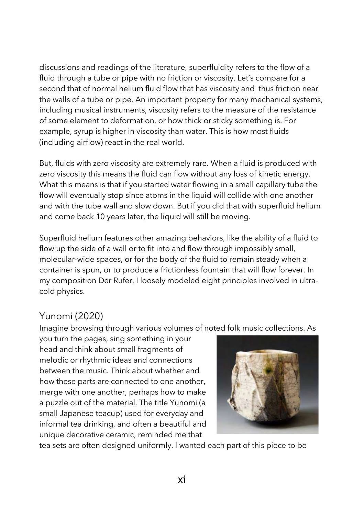discussions and readings of the literature, superfluidity refers to the flow of a fluid through a tube or pipe with no friction or viscosity. Let's compare for a second that of normal helium fluid flow that has viscosity and thus friction near the walls of a tube or pipe. An important property for many mechanical systems, including musical instruments, viscosity refers to the measure of the resistance of some element to deformation, or how thick or sticky something is. For example, syrup is higher in viscosity than water. This is how most fluids (including airflow) react in the real world.

But, fluids with zero viscosity are extremely rare. When a fluid is produced with zero viscosity this means the fluid can flow without any loss of kinetic energy. What this means is that if you started water flowing in a small capillary tube the flow will eventually stop since atoms in the liquid will collide with one another and with the tube wall and slow down. But if you did that with superfluid helium and come back 10 years later, the liquid will still be moving.

Superfluid helium features other amazing behaviors, like the ability of a fluid to flow up the side of a wall or to fit into and flow through impossibly small, molecular-wide spaces, or for the body of the fluid to remain steady when a container is spun, or to produce a frictionless fountain that will flow forever. In my composition Der Rufer, I loosely modeled eight principles involved in ultracold physics.

#### Yunomi (2020)

Imagine browsing through various volumes of noted folk music collections. As

you turn the pages, sing something in your head and think about small fragments of melodic or rhythmic ideas and connections between the music. Think about whether and how these parts are connected to one another, merge with one another, perhaps how to make a puzzle out of the material. The title Yunomi (a small Japanese teacup) used for everyday and informal tea drinking, and often a beautiful and unique decorative ceramic, reminded me that



tea sets are often designed uniformly. I wanted each part of this piece to be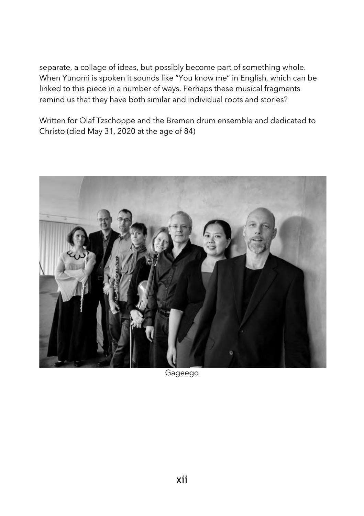separate, a collage of ideas, but possibly become part of something whole. When Yunomi is spoken it sounds like "You know me" in English, which can be linked to this piece in a number of ways. Perhaps these musical fragments remind us that they have both similar and individual roots and stories?

Written for Olaf Tzschoppe and the Bremen drum ensemble and dedicated to Christo (died May 31, 2020 at the age of 84)



Gageego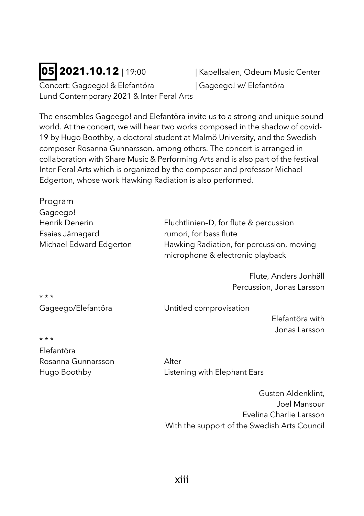Concert: Gageego! & Elefantöra | Gageego! w/ Elefantöra Lund Contemporary 2021 & Inter Feral Arts

**05 2021.10.12** | 19:00 **| Kapellsalen, Odeum Music Center** 

The ensembles Gageego! and Elefantöra invite us to a strong and unique sound world. At the concert, we will hear two works composed in the shadow of covid-19 by Hugo Boothby, a doctoral student at Malmö University, and the Swedish composer Rosanna Gunnarsson, among others. The concert is arranged in collaboration with Share Music & Performing Arts and is also part of the festival Inter Feral Arts which is organized by the composer and professor Michael Edgerton, whose work Hawking Radiation is also performed.

| Program                 |                                                                               |
|-------------------------|-------------------------------------------------------------------------------|
| Gageego!                |                                                                               |
| Henrik Denerin          | Fluchtlinien-D, for flute & percussion                                        |
| Esaias Järnagard        | rumori, for bass flute                                                        |
| Michael Edward Edgerton | Hawking Radiation, for percussion, moving<br>microphone & electronic playback |
|                         | Flute, Anders Jonhäll                                                         |
|                         | Percussion, Jonas Larsson                                                     |
| $***$                   |                                                                               |
| Gageego/Elefantöra      | Untitled comprovisation                                                       |

Elefantöra with Jonas Larsson

\* \* \*

Elefantöra Rosanna Gunnarsson Alter

Hugo Boothby Listening with Elephant Ears

Gusten Aldenklint, Joel Mansour Evelina Charlie Larsson With the support of the Swedish Arts Council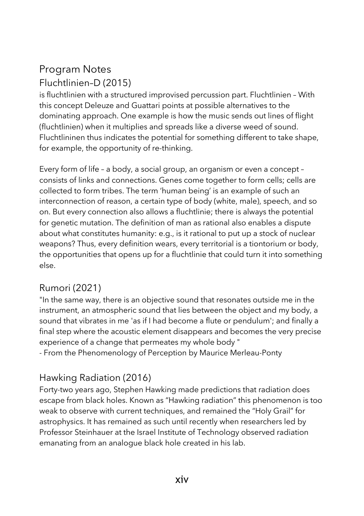### Program Notes Fluchtlinien–D (2015)

is fluchtlinien with a structured improvised percussion part. Fluchtlinien – With this concept Deleuze and Guattari points at possible alternatives to the dominating approach. One example is how the music sends out lines of flight (fluchtlinien) when it multiplies and spreads like a diverse weed of sound. Fluchtlininen thus indicates the potential for something different to take shape, for example, the opportunity of re-thinking.

Every form of life – a body, a social group, an organism or even a concept – consists of links and connections. Genes come together to form cells; cells are collected to form tribes. The term 'human being' is an example of such an interconnection of reason, a certain type of body (white, male), speech, and so on. But every connection also allows a fluchtlinie; there is always the potential for genetic mutation. The definition of man as rational also enables a dispute about what constitutes humanity: e.g., is it rational to put up a stock of nuclear weapons? Thus, every definition wears, every territorial is a tiontorium or body, the opportunities that opens up for a fluchtlinie that could turn it into something else.

#### Rumori (2021)

"In the same way, there is an objective sound that resonates outside me in the instrument, an atmospheric sound that lies between the object and my body, a sound that vibrates in me 'as if I had become a flute or pendulum'; and finally a final step where the acoustic element disappears and becomes the very precise experience of a change that permeates my whole body " - From the Phenomenology of Perception by Maurice Merleau-Ponty

#### Hawking Radiation (2016)

Forty-two years ago, Stephen Hawking made predictions that radiation does escape from black holes. Known as "Hawking radiation" this phenomenon is too weak to observe with current techniques, and remained the "Holy Grail" for astrophysics. It has remained as such until recently when researchers led by Professor Steinhauer at the Israel Institute of Technology observed radiation emanating from an analogue black hole created in his lab.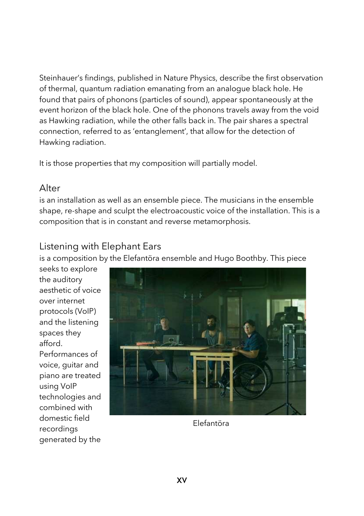Steinhauer's findings, published in Nature Physics, describe the first observation of thermal, quantum radiation emanating from an analogue black hole. He found that pairs of phonons (particles of sound), appear spontaneously at the event horizon of the black hole. One of the phonons travels away from the void as Hawking radiation, while the other falls back in. The pair shares a spectral connection, referred to as 'entanglement', that allow for the detection of Hawking radiation.

It is those properties that my composition will partially model.

#### Alter

is an installation as well as an ensemble piece. The musicians in the ensemble shape, re-shape and sculpt the electroacoustic voice of the installation. This is a composition that is in constant and reverse metamorphosis.

#### Listening with Elephant Ears

is a composition by the Elefantöra ensemble and Hugo Boothby. This piece

seeks to explore the auditory aesthetic of voice over internet protocols (VoIP) and the listening spaces they afford. Performances of voice, guitar and piano are treated using VoIP technologies and combined with domestic field recordings generated by the



Elefantöra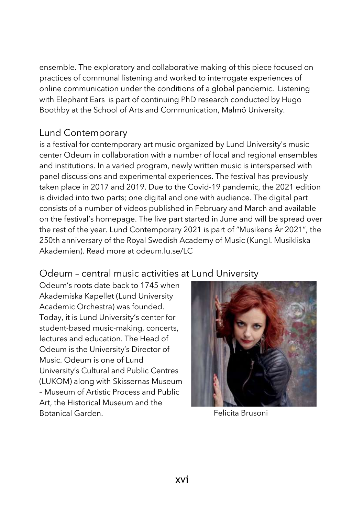ensemble. The exploratory and collaborative making of this piece focused on practices of communal listening and worked to interrogate experiences of online communication under the conditions of a global pandemic. Listening with Elephant Ears is part of continuing PhD research conducted by Hugo Boothby at the School of Arts and Communication, Malmö University.

#### Lund Contemporary

is a festival for contemporary art music organized by Lund University's music center Odeum in collaboration with a number of local and regional ensembles and institutions. In a varied program, newly written music is interspersed with panel discussions and experimental experiences. The festival has previously taken place in 2017 and 2019. Due to the Covid-19 pandemic, the 2021 edition is divided into two parts; one digital and one with audience. The digital part consists of a number of videos published in February and March and available on the festival's homepage. The live part started in June and will be spread over the rest of the year. Lund Contemporary 2021 is part of "Musikens År 2021", the 250th anniversary of the Royal Swedish Academy of Music (Kungl. Musikliska Akademien). Read more at odeum.lu.se/LC

#### Odeum – central music activities at Lund University

Odeum's roots date back to 1745 when Akademiska Kapellet (Lund University Academic Orchestra) was founded. Today, it is Lund University's center for student-based music-making, concerts, lectures and education. The Head of Odeum is the University's Director of Music. Odeum is one of Lund University's Cultural and Public Centres (LUKOM) along with Skissernas Museum – Museum of Artistic Process and Public Art, the Historical Museum and the Botanical Garden. Felicita Brusoni

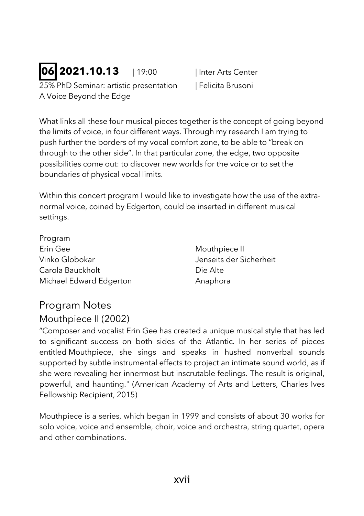## **06 2021.10.13** | 19:00 | Inter Arts Center

25% PhD Seminar: artistic presentation | Felicita Brusoni A Voice Beyond the Edge

What links all these four musical pieces together is the concept of going beyond the limits of voice, in four different ways. Through my research I am trying to push further the borders of my vocal comfort zone, to be able to "break on through to the other side". In that particular zone, the edge, two opposite possibilities come out: to discover new worlds for the voice or to set the boundaries of physical vocal limits.

Within this concert program I would like to investigate how the use of the extranormal voice, coined by Edgerton, could be inserted in different musical settings.

| Program                 |
|-------------------------|
| Erin Gee                |
| Vinko Globokar          |
| Carola Bauckholt        |
| Michael Edward Edgerton |

Mouthpiece II Jenseits der Sicherheit Die Alte Anaphora

### Program Notes

#### Mouthpiece II (2002)

"Composer and vocalist Erin Gee has created a unique musical style that has led to significant success on both sides of the Atlantic. In her series of pieces entitled Mouthpiece, she sings and speaks in hushed nonverbal sounds supported by subtle instrumental effects to project an intimate sound world, as if she were revealing her innermost but inscrutable feelings. The result is original, powerful, and haunting." (American Academy of Arts and Letters, Charles Ives Fellowship Recipient, 2015)

Mouthpiece is a series, which began in 1999 and consists of about 30 works for solo voice, voice and ensemble, choir, voice and orchestra, string quartet, opera and other combinations.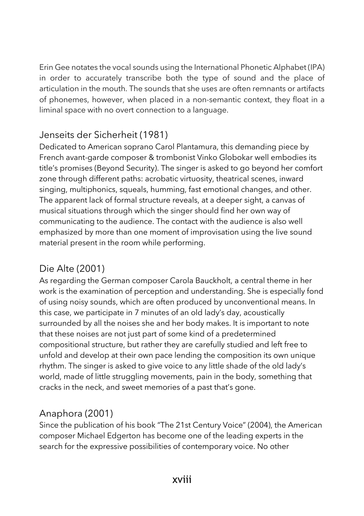Erin Gee notates the vocal sounds using the International Phonetic Alphabet (IPA) in order to accurately transcribe both the type of sound and the place of articulation in the mouth. The sounds that she uses are often remnants or artifacts of phonemes, however, when placed in a non-semantic context, they float in a liminal space with no overt connection to a language.

#### Jenseits der Sicherheit (1981)

Dedicated to American soprano Carol Plantamura, this demanding piece by French avant-garde composer & trombonist Vinko Globokar well embodies its title's promises (Beyond Security). The singer is asked to go beyond her comfort zone through different paths: acrobatic virtuosity, theatrical scenes, inward singing, multiphonics, squeals, humming, fast emotional changes, and other. The apparent lack of formal structure reveals, at a deeper sight, a canvas of musical situations through which the singer should find her own way of communicating to the audience. The contact with the audience is also well emphasized by more than one moment of improvisation using the live sound material present in the room while performing.

#### Die Alte (2001)

As regarding the German composer Carola Bauckholt, a central theme in her work is the examination of perception and understanding. She is especially fond of using noisy sounds, which are often produced by unconventional means. In this case, we participate in 7 minutes of an old lady's day, acoustically surrounded by all the noises she and her body makes. It is important to note that these noises are not just part of some kind of a predetermined compositional structure, but rather they are carefully studied and left free to unfold and develop at their own pace lending the composition its own unique rhythm. The singer is asked to give voice to any little shade of the old lady's world, made of little struggling movements, pain in the body, something that cracks in the neck, and sweet memories of a past that's gone.

#### Anaphora (2001)

Since the publication of his book "The 21st Century Voice" (2004), the American composer Michael Edgerton has become one of the leading experts in the search for the expressive possibilities of contemporary voice. No other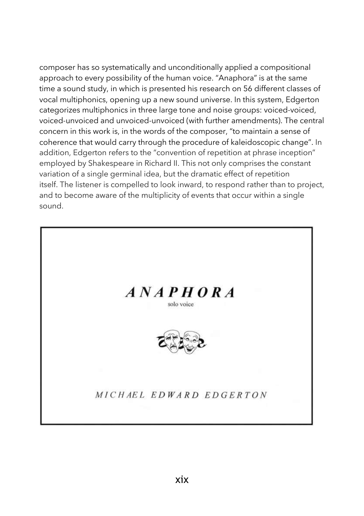composer has so systematically and unconditionally applied a compositional approach to every possibility of the human voice. "Anaphora" is at the same time a sound study, in which is presented his research on 56 different classes of vocal multiphonics, opening up a new sound universe. In this system, Edgerton categorizes multiphonics in three large tone and noise groups: voiced-voiced, voiced-unvoiced and unvoiced-unvoiced (with further amendments). The central concern in this work is, in the words of the composer, "to maintain a sense of coherence that would carry through the procedure of kaleidoscopic change". In addition, Edgerton refers to the "convention of repetition at phrase inception" employed by Shakespeare in Richard II. This not only comprises the constant variation of a single germinal idea, but the dramatic effect of repetition itself. The listener is compelled to look inward, to respond rather than to project, and to become aware of the multiplicity of events that occur within a single sound.

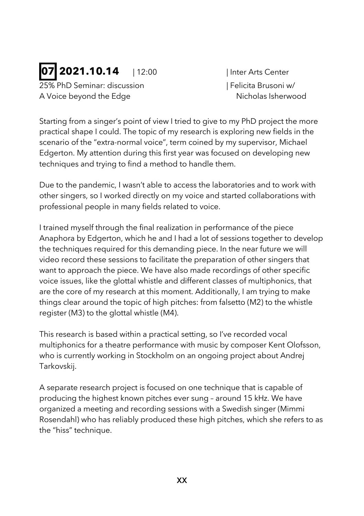## **07 2021.10.14** | 12:00 | Inter Arts Center

25% PhD Seminar: discussion | Felicita Brusoni w/ A Voice beyond the Edge Nicholas Isherwood

Starting from a singer's point of view I tried to give to my PhD project the more practical shape I could. The topic of my research is exploring new fields in the scenario of the "extra-normal voice", term coined by my supervisor, Michael Edgerton. My attention during this first year was focused on developing new techniques and trying to find a method to handle them.

Due to the pandemic, I wasn't able to access the laboratories and to work with other singers, so I worked directly on my voice and started collaborations with professional people in many fields related to voice.

I trained myself through the final realization in performance of the piece Anaphora by Edgerton, which he and I had a lot of sessions together to develop the techniques required for this demanding piece. In the near future we will video record these sessions to facilitate the preparation of other singers that want to approach the piece. We have also made recordings of other specific voice issues, like the glottal whistle and different classes of multiphonics, that are the core of my research at this moment. Additionally, I am trying to make things clear around the topic of high pitches: from falsetto (M2) to the whistle register (M3) to the glottal whistle (M4).

This research is based within a practical setting, so I've recorded vocal multiphonics for a theatre performance with music by composer Kent Olofsson, who is currently working in Stockholm on an ongoing project about Andrej Tarkovskij.

A separate research project is focused on one technique that is capable of producing the highest known pitches ever sung – around 15 kHz. We have organized a meeting and recording sessions with a Swedish singer (Mimmi Rosendahl) who has reliably produced these high pitches, which she refers to as the "hiss" technique.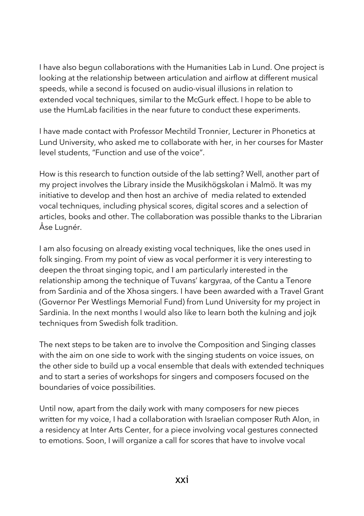I have also begun collaborations with the Humanities Lab in Lund. One project is looking at the relationship between articulation and airflow at different musical speeds, while a second is focused on audio-visual illusions in relation to extended vocal techniques, similar to the McGurk effect. I hope to be able to use the HumLab facilities in the near future to conduct these experiments.

I have made contact with Professor Mechtild Tronnier, Lecturer in Phonetics at Lund University, who asked me to collaborate with her, in her courses for Master level students, "Function and use of the voice".

How is this research to function outside of the lab setting? Well, another part of my project involves the Library inside the Musikhögskolan i Malmö. It was my initiative to develop and then host an archive of media related to extended vocal techniques, including physical scores, digital scores and a selection of articles, books and other. The collaboration was possible thanks to the Librarian Åse Lugnér.

I am also focusing on already existing vocal techniques, like the ones used in folk singing. From my point of view as vocal performer it is very interesting to deepen the throat singing topic, and I am particularly interested in the relationship among the technique of Tuvans' kargyraa, of the Cantu a Tenore from Sardinia and of the Xhosa singers. I have been awarded with a Travel Grant (Governor Per Westlings Memorial Fund) from Lund University for my project in Sardinia. In the next months I would also like to learn both the kulning and jojk techniques from Swedish folk tradition.

The next steps to be taken are to involve the Composition and Singing classes with the aim on one side to work with the singing students on voice issues, on the other side to build up a vocal ensemble that deals with extended techniques and to start a series of workshops for singers and composers focused on the boundaries of voice possibilities.

Until now, apart from the daily work with many composers for new pieces written for my voice, I had a collaboration with Israelian composer Ruth Alon, in a residency at Inter Arts Center, for a piece involving vocal gestures connected to emotions. Soon, I will organize a call for scores that have to involve vocal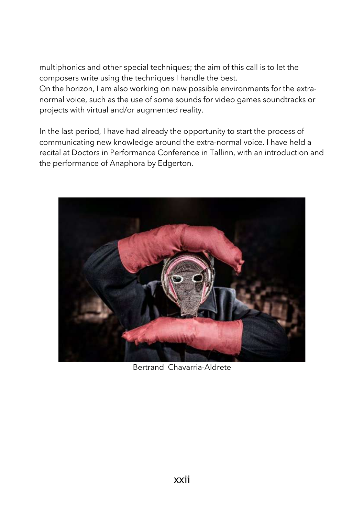multiphonics and other special techniques; the aim of this call is to let the composers write using the techniques I handle the best.

On the horizon, I am also working on new possible environments for the extranormal voice, such as the use of some sounds for video games soundtracks or projects with virtual and/or augmented reality.

In the last period, I have had already the opportunity to start the process of communicating new knowledge around the extra-normal voice. I have held a recital at Doctors in Performance Conference in Tallinn, with an introduction and the performance of Anaphora by Edgerton.



Bertrand Chavarria-Aldrete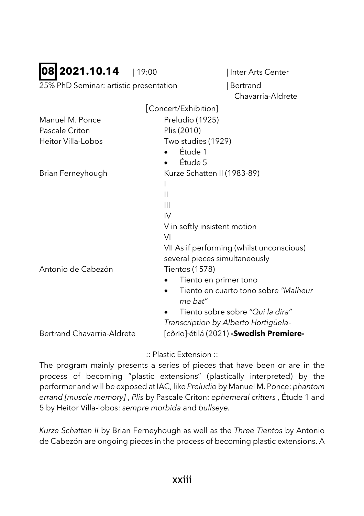### **08 2021.10.14** | 19:00 | Inter Arts Center

25% PhD Seminar: artistic presentation | Bertrand

Chavarria-Aldrete

|                            | Concert/Exhibition]                             |
|----------------------------|-------------------------------------------------|
| Manuel M. Ponce            | Preludio (1925)                                 |
| Pascale Criton             | Plis (2010)                                     |
| Heitor Villa-Lobos         | Two studies (1929)                              |
|                            | Étude 1                                         |
|                            | Étude 5                                         |
| Brian Ferneyhough          | Kurze Schatten II (1983-89)                     |
|                            |                                                 |
|                            | Ш                                               |
|                            | Ш                                               |
|                            | IV                                              |
|                            | V in softly insistent motion                    |
|                            | VI                                              |
|                            | VII As if performing (whilst unconscious)       |
|                            | several pieces simultaneously                   |
| Antonio de Cabezón         | Tientos (1578)                                  |
|                            | Tiento en primer tono                           |
|                            | Tiento en cuarto tono sobre "Malheur<br>me bat" |
|                            | Tiento sobre sobre "Qui la dira"                |
|                            | Transcription by Alberto Hortigüela-            |
| Bertrand Chavarria-Aldrete | [côrīo]·étilá (2021) - Swedish Premiere-        |

:: Plastic Extension ::

The program mainly presents a series of pieces that have been or are in the process of becoming "plastic extensions" (plastically interpreted) by the performer and will be exposed at IAC, like *Preludio* by Manuel M. Ponce: *phantom errand [muscle memory]* , *Plis* by Pascale Criton: *ephemeral critters* , Étude 1 and 5 by Heitor Villa-lobos: *sempre morbida* and *bullseye.* 

*Kurze Schatten II* by Brian Ferneyhough as well as the *Three Tientos* by Antonio de Cabezón are ongoing pieces in the process of becoming plastic extensions. A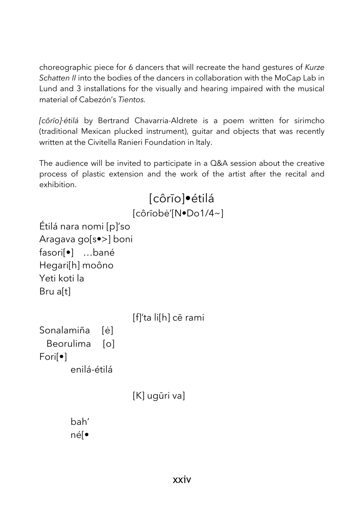choreographic piece for 6 dancers that will recreate the hand gestures of *Kurze Schatten II* into the bodies of the dancers in collaboration with the MoCap Lab in Lund and 3 installations for the visually and hearing impaired with the musical material of Cabezón's *Tientos.*

*[côrīo]·étilá* by Bertrand Chavarria-Aldrete is a poem written for sirimcho (traditional Mexican plucked instrument), guitar and objects that was recently written at the Civitella Ranieri Foundation in Italy.

The audience will be invited to participate in a Q&A session about the creative process of plastic extension and the work of the artist after the recital and exhibition.

```
[côrīo]•étilá 
                       [côrīobė'[N•Do1/4~]
Étilá nara nomi [p]'so
Aragava go[s•>] boni 
fasori[•] …bané 
Hegari[h] moôno 
Yeti koti la
Bru a[t]
                       [f]'ta li[h] cē rami
Sonalamiña [ė]
  Beorulima [o]
Fori[•] 
       enilá-étilá 
                       [K] ugūri va] 
       bah'
```
né[•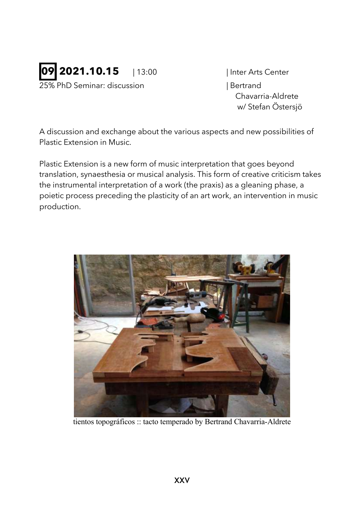

25% PhD Seminar: discussion | Bertrand

Chavarria-Aldrete w/ Stefan Östersjö

A discussion and exchange about the various aspects and new possibilities of Plastic Extension in Music.

Plastic Extension is a new form of music interpretation that goes beyond translation, synaesthesia or musical analysis. This form of creative criticism takes the instrumental interpretation of a work (the praxis) as a gleaning phase, a poietic process preceding the plasticity of an art work, an intervention in music production.



tientos topográficos :: tacto temperado by Bertrand Chavarria-Aldrete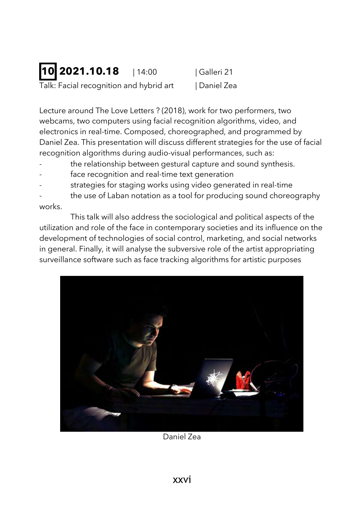### **10 2021.10.18** | 14:00 | Galleri 21 Talk: Facial recognition and hybrid art | Daniel Zea

Lecture around The Love Letters ? (2018), work for two performers, two webcams, two computers using facial recognition algorithms, video, and electronics in real-time. Composed, choreographed, and programmed by Daniel Zea. This presentation will discuss different strategies for the use of facial recognition algorithms during audio-visual performances, such as:

- the relationship between gestural capture and sound synthesis.
- face recognition and real-time text generation
- strategies for staging works using video generated in real-time
- the use of Laban notation as a tool for producing sound choreography works.

This talk will also address the sociological and political aspects of the utilization and role of the face in contemporary societies and its influence on the development of technologies of social control, marketing, and social networks in general. Finally, it will analyse the subversive role of the artist appropriating surveillance software such as face tracking algorithms for artistic purposes



Daniel Zea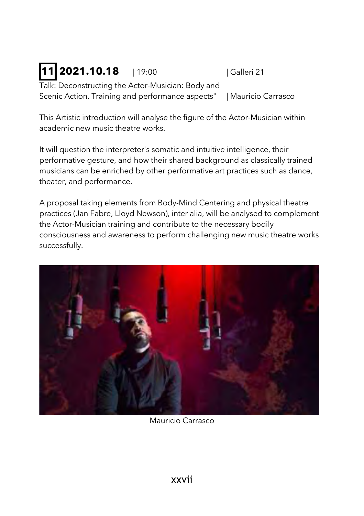## **11 2021.10.18** 19:00 | Galleri 21

Talk: Deconstructing the Actor-Musician: Body and Scenic Action. Training and performance aspects" | Mauricio Carrasco

This Artistic introduction will analyse the figure of the Actor-Musician within academic new music theatre works.

It will question the interpreter's somatic and intuitive intelligence, their performative gesture, and how their shared background as classically trained musicians can be enriched by other performative art practices such as dance, theater, and performance.

A proposal taking elements from Body-Mind Centering and physical theatre practices (Jan Fabre, Lloyd Newson), inter alia, will be analysed to complement the Actor-Musician training and contribute to the necessary bodily consciousness and awareness to perform challenging new music theatre works successfully.



Mauricio Carrasco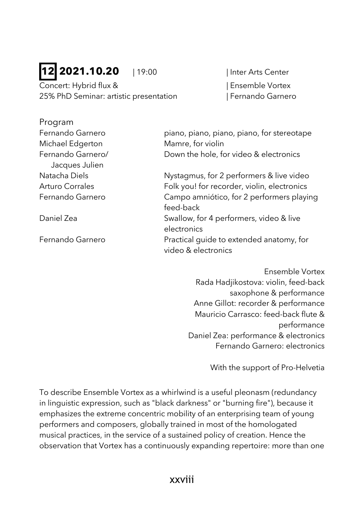### **12 2021.10.20** | 19:00 | Inter Arts Center

Program

Concert: Hybrid flux & | Ensemble Vortex 25% PhD Seminar: artistic presentation | Fernando Garnero

| piano, piano, piano, piano, for stereotape  |
|---------------------------------------------|
| Mamre, for violin                           |
| Down the hole, for video & electronics      |
|                                             |
| Nystagmus, for 2 performers & live video    |
| Folk you! for recorder, violin, electronics |
| Campo amniótico, for 2 performers playing   |
| feed-back                                   |
| Swallow, for 4 performers, video & live     |
| electronics                                 |
| Practical guide to extended anatomy, for    |
| video & electronics                         |
|                                             |
|                                             |

Ensemble Vortex Rada Hadjikostova: violin, feed-back saxophone & performance Anne Gillot: recorder & performance Mauricio Carrasco: feed-back flute & performance Daniel Zea: performance & electronics Fernando Garnero: electronics

With the support of Pro-Helvetia

To describe Ensemble Vortex as a whirlwind is a useful pleonasm (redundancy in linguistic expression, such as "black darkness" or "burning fire"), because it emphasizes the extreme concentric mobility of an enterprising team of young performers and composers, globally trained in most of the homologated musical practices, in the service of a sustained policy of creation. Hence the observation that Vortex has a continuously expanding repertoire: more than one

xxviii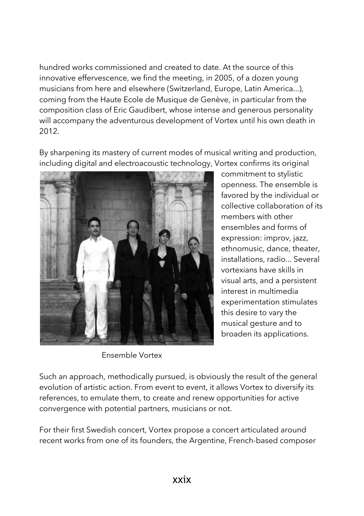hundred works commissioned and created to date. At the source of this innovative effervescence, we find the meeting, in 2005, of a dozen young musicians from here and elsewhere (Switzerland, Europe, Latin America...), coming from the Haute Ecole de Musique de Genève, in particular from the composition class of Eric Gaudibert, whose intense and generous personality will accompany the adventurous development of Vortex until his own death in 2012.

By sharpening its mastery of current modes of musical writing and production, including digital and electroacoustic technology, Vortex confirms its original



Ensemble Vortex

commitment to stylistic openness. The ensemble is favored by the individual or collective collaboration of its members with other ensembles and forms of expression: improv, jazz, ethnomusic, dance, theater, installations, radio... Several vortexians have skills in visual arts, and a persistent interest in multimedia experimentation stimulates this desire to vary the musical gesture and to broaden its applications.

Such an approach, methodically pursued, is obviously the result of the general evolution of artistic action. From event to event, it allows Vortex to diversify its references, to emulate them, to create and renew opportunities for active convergence with potential partners, musicians or not.

For their first Swedish concert, Vortex propose a concert articulated around recent works from one of its founders, the Argentine, French-based composer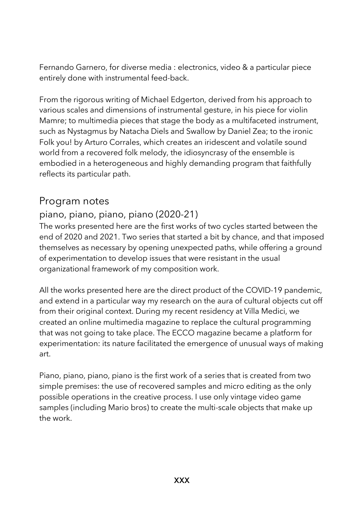Fernando Garnero, for diverse media : electronics, video & a particular piece entirely done with instrumental feed-back.

From the rigorous writing of Michael Edgerton, derived from his approach to various scales and dimensions of instrumental gesture, in his piece for violin Mamre; to multimedia pieces that stage the body as a multifaceted instrument, such as Nystagmus by Natacha Diels and Swallow by Daniel Zea; to the ironic Folk you! by Arturo Corrales, which creates an iridescent and volatile sound world from a recovered folk melody, the idiosyncrasy of the ensemble is embodied in a heterogeneous and highly demanding program that faithfully reflects its particular path.

#### Program notes

#### piano, piano, piano, piano (2020-21)

The works presented here are the first works of two cycles started between the end of 2020 and 2021. Two series that started a bit by chance, and that imposed themselves as necessary by opening unexpected paths, while offering a ground of experimentation to develop issues that were resistant in the usual organizational framework of my composition work.

All the works presented here are the direct product of the COVID-19 pandemic, and extend in a particular way my research on the aura of cultural objects cut off from their original context. During my recent residency at Villa Medici, we created an online multimedia magazine to replace the cultural programming that was not going to take place. The ECCO magazine became a platform for experimentation: its nature facilitated the emergence of unusual ways of making art.

Piano, piano, piano, piano is the first work of a series that is created from two simple premises: the use of recovered samples and micro editing as the only possible operations in the creative process. I use only vintage video game samples (including Mario bros) to create the multi-scale objects that make up the work.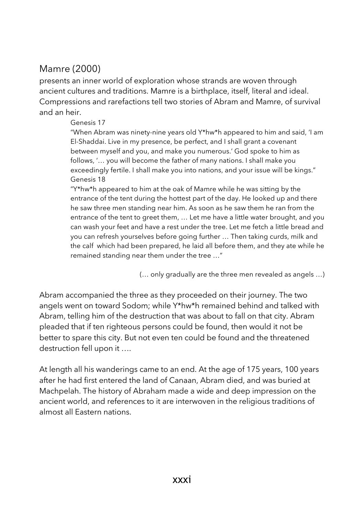#### Mamre (2000)

presents an inner world of exploration whose strands are woven through ancient cultures and traditions. Mamre is a birthplace, itself, literal and ideal. Compressions and rarefactions tell two stories of Abram and Mamre, of survival and an heir.

#### Genesis 17

"When Abram was ninety-nine years old Y\*hw\*h appeared to him and said, 'I am El-Shaddai. Live in my presence, be perfect, and I shall grant a covenant between myself and you, and make you numerous.' God spoke to him as follows, '… you will become the father of many nations. I shall make you exceedingly fertile. I shall make you into nations, and your issue will be kings." Genesis 18

"Y\*hw\*h appeared to him at the oak of Mamre while he was sitting by the entrance of the tent during the hottest part of the day. He looked up and there he saw three men standing near him. As soon as he saw them he ran from the entrance of the tent to greet them, … Let me have a little water brought, and you can wash your feet and have a rest under the tree. Let me fetch a little bread and you can refresh yourselves before going further … Then taking curds, milk and the calf which had been prepared, he laid all before them, and they ate while he remained standing near them under the tree …"

(… only gradually are the three men revealed as angels …)

Abram accompanied the three as they proceeded on their journey. The two angels went on toward Sodom; while Y\*hw\*h remained behind and talked with Abram, telling him of the destruction that was about to fall on that city. Abram pleaded that if ten righteous persons could be found, then would it not be better to spare this city. But not even ten could be found and the threatened destruction fell upon it ….

At length all his wanderings came to an end. At the age of 175 years, 100 years after he had first entered the land of Canaan, Abram died, and was buried at Machpelah. The history of Abraham made a wide and deep impression on the ancient world, and references to it are interwoven in the religious traditions of almost all Eastern nations.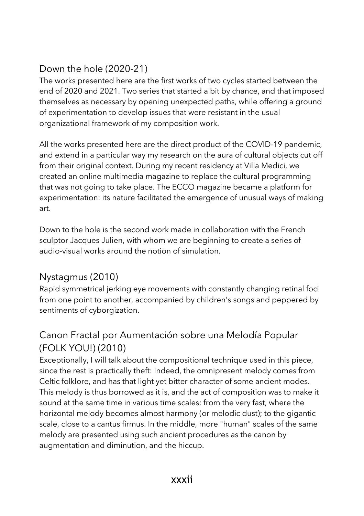#### Down the hole (2020-21)

The works presented here are the first works of two cycles started between the end of 2020 and 2021. Two series that started a bit by chance, and that imposed themselves as necessary by opening unexpected paths, while offering a ground of experimentation to develop issues that were resistant in the usual organizational framework of my composition work.

All the works presented here are the direct product of the COVID-19 pandemic, and extend in a particular way my research on the aura of cultural objects cut off from their original context. During my recent residency at Villa Medici, we created an online multimedia magazine to replace the cultural programming that was not going to take place. The ECCO magazine became a platform for experimentation: its nature facilitated the emergence of unusual ways of making art.

Down to the hole is the second work made in collaboration with the French sculptor Jacques Julien, with whom we are beginning to create a series of audio-visual works around the notion of simulation.

#### Nystagmus (2010)

Rapid symmetrical jerking eye movements with constantly changing retinal foci from one point to another, accompanied by children's songs and peppered by sentiments of cyborgization.

### Canon Fractal por Aumentación sobre una Melodía Popular (FOLK YOU!) (2010)

Exceptionally, I will talk about the compositional technique used in this piece, since the rest is practically theft: Indeed, the omnipresent melody comes from Celtic folklore, and has that light yet bitter character of some ancient modes. This melody is thus borrowed as it is, and the act of composition was to make it sound at the same time in various time scales: from the very fast, where the horizontal melody becomes almost harmony (or melodic dust); to the gigantic scale, close to a cantus firmus. In the middle, more "human" scales of the same melody are presented using such ancient procedures as the canon by augmentation and diminution, and the hiccup.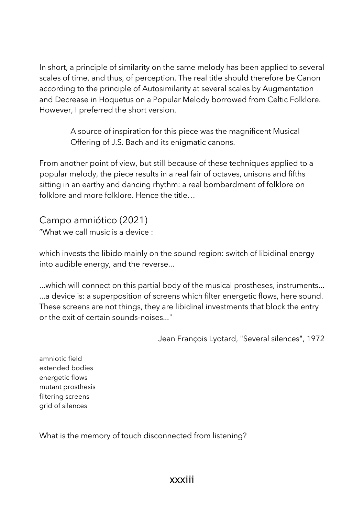In short, a principle of similarity on the same melody has been applied to several scales of time, and thus, of perception. The real title should therefore be Canon according to the principle of Autosimilarity at several scales by Augmentation and Decrease in Hoquetus on a Popular Melody borrowed from Celtic Folklore. However, I preferred the short version.

> A source of inspiration for this piece was the magnificent Musical Offering of J.S. Bach and its enigmatic canons.

From another point of view, but still because of these techniques applied to a popular melody, the piece results in a real fair of octaves, unisons and fifths sitting in an earthy and dancing rhythm: a real bombardment of folklore on folklore and more folklore. Hence the title…

Campo amniótico (2021) "What we call music is a device :

which invests the libido mainly on the sound region: switch of libidinal energy into audible energy, and the reverse...

...which will connect on this partial body of the musical prostheses, instruments... ...a device is: a superposition of screens which filter energetic flows, here sound. These screens are not things, they are libidinal investments that block the entry or the exit of certain sounds-noises..."

Jean François Lyotard, "Several silences", 1972

amniotic field extended bodies energetic flows mutant prosthesis filtering screens grid of silences

What is the memory of touch disconnected from listening?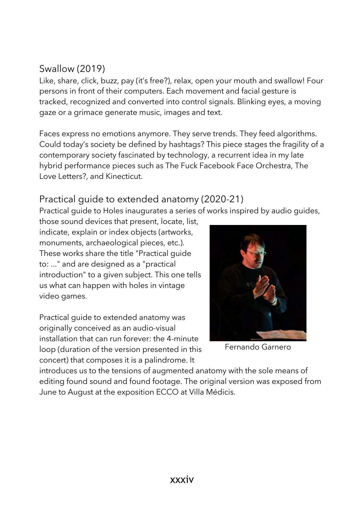#### Swallow (2019)

Like, share, click, buzz, pay (it's free?), relax, open your mouth and swallow! Four persons in front of their computers. Each movement and facial gesture is tracked, recognized and converted into control signals. Blinking eyes, a moving gaze or a grimace generate music, images and text.

Faces express no emotions anymore. They serve trends. They feed algorithms. Could today's society be defined by hashtags? This piece stages the fragility of a contemporary society fascinated by technology, a recurrent idea in my late hybrid performance pieces such as The Fuck Facebook Face Orchestra, The Love Letters?, and Kinecticut.

#### Practical guide to extended anatomy (2020-21)

Practical guide to Holes inaugurates a series of works inspired by audio guides,

those sound devices that present, locate, list, indicate, explain or index objects (artworks, monuments, archaeological pieces, etc.). These works share the title "Practical guide to: ..." and are designed as a "practical introduction" to a given subject. This one tells us what can happen with holes in vintage video games.

Practical guide to extended anatomy was originally conceived as an audio-visual installation that can run forever: the 4-minute loop (duration of the version presented in this concert) that composes it is a palindrome. It



Fernando Garnero

introduces us to the tensions of augmented anatomy with the sole means of editing found sound and found footage. The original version was exposed from June to August at the exposition ECCO at Villa Médicis.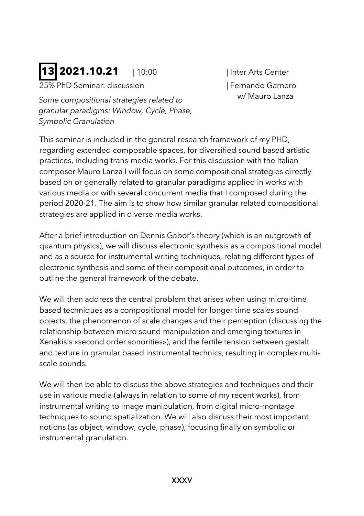## **13 2021.10.21** | 10:00 | Inter Arts Center

25% PhD Seminar: discussion | Fernando Garnero

*Some compositional strategies related to granular paradigms: Window, Cycle, Phase, Symbolic Granulation*

w/ Mauro Lanza

This seminar is included in the general research framework of my PHD, regarding extended composable spaces, for diversified sound based artistic practices, including trans-media works. For this discussion with the Italian composer Mauro Lanza I will focus on some compositional strategies directly based on or generally related to granular paradigms applied in works with various media or with several concurrent media that I composed during the period 2020-21. The aim is to show how similar granular related compositional strategies are applied in diverse media works.

After a brief introduction on Dennis Gabor's theory (which is an outgrowth of quantum physics), we will discuss electronic synthesis as a compositional model and as a source for instrumental writing techniques, relating different types of electronic synthesis and some of their compositional outcomes, in order to outline the general framework of the debate.

We will then address the central problem that arises when using micro-time based techniques as a compositional model for longer time scales sound objects, the phenomenon of scale changes and their perception (discussing the relationship between micro sound manipulation and emerging textures in Xenakis's «second order sonorities»), and the fertile tension between gestalt and texture in granular based instrumental technics, resulting in complex multiscale sounds.

We will then be able to discuss the above strategies and techniques and their use in various media (always in relation to some of my recent works), from instrumental writing to image manipulation, from digital micro-montage techniques to sound spatialization. We will also discuss their most important notions (as object, window, cycle, phase), focusing finally on symbolic or instrumental granulation.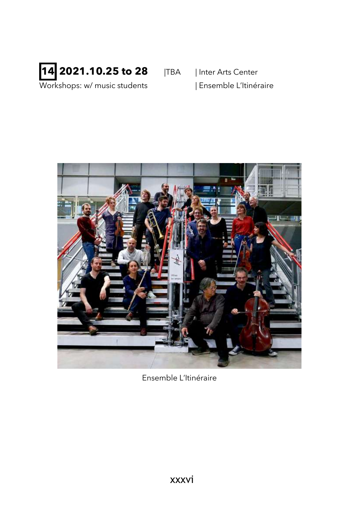## **14 2021.10.25 to 28 ITBA** | Inter Arts Center

Workshops: w/ music students | Ensemble L'Itinéraire



Ensemble L'Itinéraire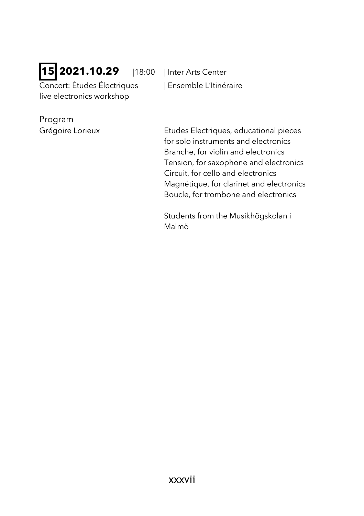# **15 2021.10.29** |18:00 | Inter Arts Center

Concert: Études Électriques | Ensemble L'Itinéraire live electronics workshop

Program

Grégoire Lorieux Etudes Electriques, educational pieces for solo instruments and electronics Branche, for violin and electronics Tension, for saxophone and electronics Circuit, for cello and electronics Magnétique, for clarinet and electronics Boucle, for trombone and electronics

> Students from the Musikhögskolan i Malmö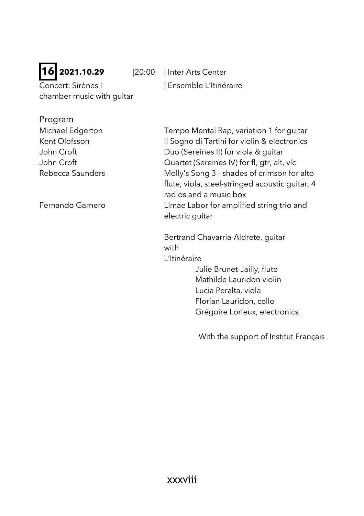# **16 2021.10.29** |20:00 | Inter Arts Center

Concert: Sirènes I | Ensemble L'Itinéraire chamber music with guitar

| Program          |                                                 |
|------------------|-------------------------------------------------|
| Michael Edgerton | Tempo Mental Rap, variation 1 for guitar        |
| Kent Olofsson    | Il Sogno di Tartini for violin & electronics    |
| John Croft       | Duo (Sereines II) for viola & guitar            |
| John Croft       | Quartet (Sereines IV) for fl, gtr, alt, vlc     |
| Rebecca Saunders | Molly's Song 3 - shades of crimson for alto     |
|                  | flute, viola, steel-stringed acoustic guitar, 4 |
|                  | radios and a music box                          |
| Fernando Garnero | Limae Labor for amplified string trio and       |
|                  | electric quitar                                 |
|                  |                                                 |

Bertrand Chavarria-Aldrete, guitar with L'Itinéraire

> Julie Brunet-Jailly, flute Mathilde Lauridon violin Lucia Peralta, viola Florian Lauridon, cello Grégoire Lorieux, electronics

With the support of Institut Français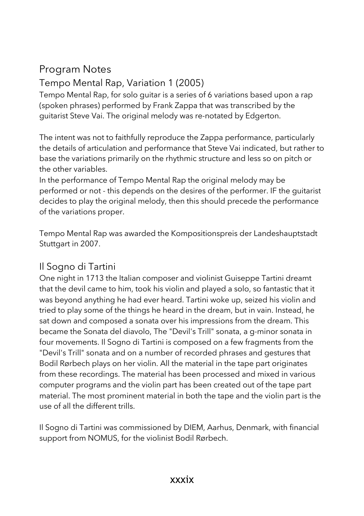# Program Notes

# Tempo Mental Rap, Variation 1 (2005)

Tempo Mental Rap, for solo guitar is a series of 6 variations based upon a rap (spoken phrases) performed by Frank Zappa that was transcribed by the guitarist Steve Vai. The original melody was re-notated by Edgerton.

The intent was not to faithfully reproduce the Zappa performance, particularly the details of articulation and performance that Steve Vai indicated, but rather to base the variations primarily on the rhythmic structure and less so on pitch or the other variables.

In the performance of Tempo Mental Rap the original melody may be performed or not - this depends on the desires of the performer. IF the guitarist decides to play the original melody, then this should precede the performance of the variations proper.

Tempo Mental Rap was awarded the Kompositionspreis der Landeshauptstadt Stuttgart in 2007.

# Il Sogno di Tartini

One night in 1713 the Italian composer and violinist Guiseppe Tartini dreamt that the devil came to him, took his violin and played a solo, so fantastic that it was beyond anything he had ever heard. Tartini woke up, seized his violin and tried to play some of the things he heard in the dream, but in vain. Instead, he sat down and composed a sonata over his impressions from the dream. This became the Sonata del diavolo, The "Devil's Trill" sonata, a g-minor sonata in four movements. Il Sogno di Tartini is composed on a few fragments from the "Devil's Trill" sonata and on a number of recorded phrases and gestures that Bodil Rørbech plays on her violin. All the material in the tape part originates from these recordings. The material has been processed and mixed in various computer programs and the violin part has been created out of the tape part material. The most prominent material in both the tape and the violin part is the use of all the different trills.

Il Sogno di Tartini was commissioned by DIEM, Aarhus, Denmark, with financial support from NOMUS, for the violinist Bodil Rørbech.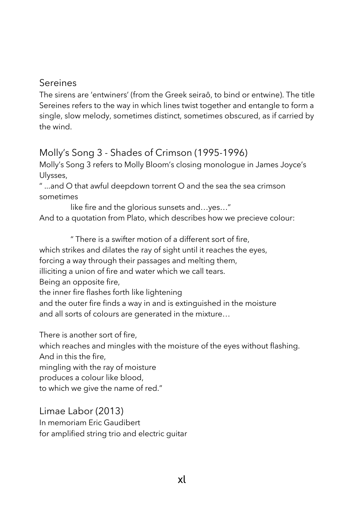#### Sereines

The sirens are 'entwiners' (from the Greek seiraô, to bind or entwine). The title Sereines refers to the way in which lines twist together and entangle to form a single, slow melody, sometimes distinct, sometimes obscured, as if carried by the wind.

# Molly's Song 3 - Shades of Crimson (1995-1996)

Molly's Song 3 refers to Molly Bloom's closing monologue in James Joyce's Ulysses,

" ...and O that awful deepdown torrent O and the sea the sea crimson sometimes

like fire and the glorious sunsets and…yes…" And to a quotation from Plato, which describes how we precieve colour:

" There is a swifter motion of a different sort of fire,

which strikes and dilates the ray of sight until it reaches the eyes,

forcing a way through their passages and melting them,

illiciting a union of fire and water which we call tears.

Being an opposite fire,

the inner fire flashes forth like lightening

and the outer fire finds a way in and is extinguished in the moisture and all sorts of colours are generated in the mixture…

There is another sort of fire,

which reaches and mingles with the moisture of the eyes without flashing. And in this the fire,

mingling with the ray of moisture

produces a colour like blood,

to which we give the name of red."

Limae Labor (2013)

In memoriam Eric Gaudibert for amplified string trio and electric guitar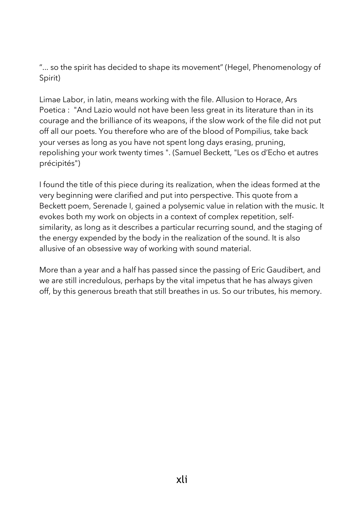"... so the spirit has decided to shape its movement" (Hegel, Phenomenology of Spirit)

Limae Labor, in latin, means working with the file. Allusion to Horace, Ars Poetica : "And Lazio would not have been less great in its literature than in its courage and the brilliance of its weapons, if the slow work of the file did not put off all our poets. You therefore who are of the blood of Pompilius, take back your verses as long as you have not spent long days erasing, pruning, repolishing your work twenty times ". (Samuel Beckett, "Les os d'Echo et autres précipités")

I found the title of this piece during its realization, when the ideas formed at the very beginning were clarified and put into perspective. This quote from a Beckett poem, Serenade I, gained a polysemic value in relation with the music. It evokes both my work on objects in a context of complex repetition, selfsimilarity, as long as it describes a particular recurring sound, and the staging of the energy expended by the body in the realization of the sound. It is also allusive of an obsessive way of working with sound material.

More than a year and a half has passed since the passing of Eric Gaudibert, and we are still incredulous, perhaps by the vital impetus that he has always given off, by this generous breath that still breathes in us. So our tributes, his memory.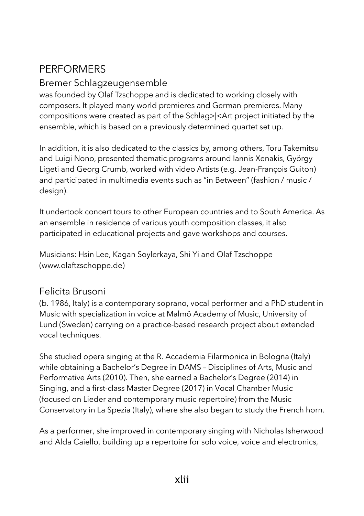# **PERFORMERS**

### Bremer Schlagzeugensemble

was founded by Olaf Tzschoppe and is dedicated to working closely with composers. It played many world premieres and German premieres. Many compositions were created as part of the Schlag>|<Art project initiated by the ensemble, which is based on a previously determined quartet set up.

In addition, it is also dedicated to the classics by, among others, Toru Takemitsu and Luigi Nono, presented thematic programs around Iannis Xenakis, György Ligeti and Georg Crumb, worked with video Artists (e.g. Jean-François Guiton) and participated in multimedia events such as "in Between" (fashion / music / design).

It undertook concert tours to other European countries and to South America. As an ensemble in residence of various youth composition classes, it also participated in educational projects and gave workshops and courses.

Musicians: Hsin Lee, Kagan Soylerkaya, Shi Yi and Olaf Tzschoppe (www.olaftzschoppe.de)

#### Felicita Brusoni

(b. 1986, Italy) is a contemporary soprano, vocal performer and a PhD student in Music with specialization in voice at Malmö Academy of Music, University of Lund (Sweden) carrying on a practice-based research project about extended vocal techniques.

She studied opera singing at the R. Accademia Filarmonica in Bologna (Italy) while obtaining a Bachelor's Degree in DAMS – Disciplines of Arts, Music and Performative Arts (2010). Then, she earned a Bachelor's Degree (2014) in Singing, and a first-class Master Degree (2017) in Vocal Chamber Music (focused on Lieder and contemporary music repertoire) from the Music Conservatory in La Spezia (Italy), where she also began to study the French horn.

As a performer, she improved in contemporary singing with Nicholas Isherwood and Alda Caiello, building up a repertoire for solo voice, voice and electronics,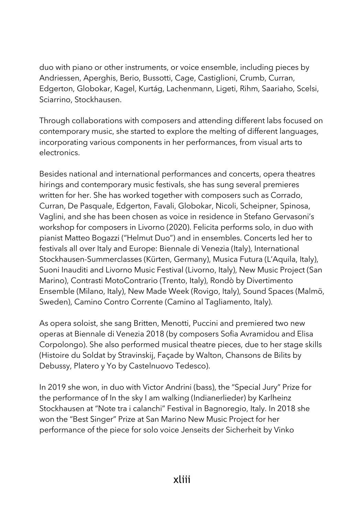duo with piano or other instruments, or voice ensemble, including pieces by Andriessen, Aperghis, Berio, Bussotti, Cage, Castiglioni, Crumb, Curran, Edgerton, Globokar, Kagel, Kurtág, Lachenmann, Ligeti, Rihm, Saariaho, Scelsi, Sciarrino, Stockhausen.

Through collaborations with composers and attending different labs focused on contemporary music, she started to explore the melting of different languages, incorporating various components in her performances, from visual arts to electronics.

Besides national and international performances and concerts, opera theatres hirings and contemporary music festivals, she has sung several premieres written for her. She has worked together with composers such as Corrado, Curran, De Pasquale, Edgerton, Favali, Globokar, Nicoli, Scheipner, Spinosa, Vaglini, and she has been chosen as voice in residence in Stefano Gervasoni's workshop for composers in Livorno (2020). Felicita performs solo, in duo with pianist Matteo Bogazzi ("Helmut Duo") and in ensembles. Concerts led her to festivals all over Italy and Europe: Biennale di Venezia (Italy), International Stockhausen-Summerclasses (Kürten, Germany), Musica Futura (L'Aquila, Italy), Suoni Inauditi and Livorno Music Festival (Livorno, Italy), New Music Project (San Marino), Contrasti MotoContrario (Trento, Italy), Rondò by Divertimento Ensemble (Milano, Italy), New Made Week (Rovigo, Italy), Sound Spaces (Malmö, Sweden), Camino Contro Corrente (Camino al Tagliamento, Italy).

As opera soloist, she sang Britten, Menotti, Puccini and premiered two new operas at Biennale di Venezia 2018 (by composers Sofia Avramidou and Elisa Corpolongo). She also performed musical theatre pieces, due to her stage skills (Histoire du Soldat by Stravinskij, Façade by Walton, Chansons de Bilits by Debussy, Platero y Yo by Castelnuovo Tedesco).

In 2019 she won, in duo with Victor Andrini (bass), the "Special Jury" Prize for the performance of In the sky I am walking (Indianerlieder) by Karlheinz Stockhausen at "Note tra i calanchi" Festival in Bagnoregio, Italy. In 2018 she won the "Best Singer" Prize at San Marino New Music Project for her performance of the piece for solo voice Jenseits der Sicherheit by Vinko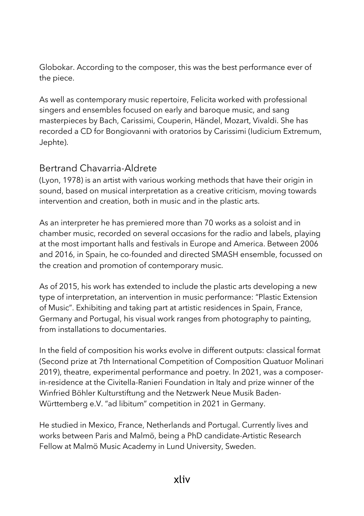Globokar. According to the composer, this was the best performance ever of the piece.

As well as contemporary music repertoire, Felicita worked with professional singers and ensembles focused on early and baroque music, and sang masterpieces by Bach, Carissimi, Couperin, Händel, Mozart, Vivaldi. She has recorded a CD for Bongiovanni with oratorios by Carissimi (Iudicium Extremum, Jephte).

## Bertrand Chavarria-Aldrete

(Lyon, 1978) is an artist with various working methods that have their origin in sound, based on musical interpretation as a creative criticism, moving towards intervention and creation, both in music and in the plastic arts.

As an interpreter he has premiered more than 70 works as a soloist and in chamber music, recorded on several occasions for the radio and labels, playing at the most important halls and festivals in Europe and America. Between 2006 and 2016, in Spain, he co-founded and directed SMASH ensemble, focussed on the creation and promotion of contemporary music.

As of 2015, his work has extended to include the plastic arts developing a new type of interpretation, an intervention in music performance: "Plastic Extension of Music". Exhibiting and taking part at artistic residences in Spain, France, Germany and Portugal, his visual work ranges from photography to painting, from installations to documentaries.

In the field of composition his works evolve in different outputs: classical format (Second prize at 7th International Competition of Composition Quatuor Molinari 2019), theatre, experimental performance and poetry. In 2021, was a composerin-residence at the Civitella-Ranieri Foundation in Italy and prize winner of the Winfried Böhler Kulturstiftung and the Netzwerk Neue Musik Baden-Württemberg e.V. "ad libitum" competition in 2021 in Germany.

He studied in Mexico, France, Netherlands and Portugal. Currently lives and works between Paris and Malmö, being a PhD candidate-Artistic Research Fellow at Malmö Music Academy in Lund University, Sweden.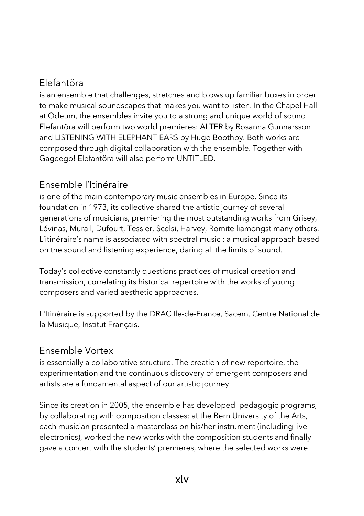# Elefantöra

is an ensemble that challenges, stretches and blows up familiar boxes in order to make musical soundscapes that makes you want to listen. In the Chapel Hall at Odeum, the ensembles invite you to a strong and unique world of sound. Elefantöra will perform two world premieres: ALTER by Rosanna Gunnarsson and LISTENING WITH ELEPHANT EARS by Hugo Boothby. Both works are composed through digital collaboration with the ensemble. Together with Gageego! Elefantöra will also perform UNTITLED.

## Ensemble l'Itinéraire

is one of the main contemporary music ensembles in Europe. Since its foundation in 1973, its collective shared the artistic journey of several generations of musicians, premiering the most outstanding works from Grisey, Lévinas, Murail, Dufourt, Tessier, Scelsi, Harvey, Romitelliamongst many others. L'itinéraire's name is associated with spectral music : a musical approach based on the sound and listening experience, daring all the limits of sound.

Today's collective constantly questions practices of musical creation and transmission, correlating its historical repertoire with the works of young composers and varied aesthetic approaches.

L'Itinéraire is supported by the DRAC Ile-de-France, Sacem, Centre National de la Musique, Institut Français.

#### Ensemble Vortex

is essentially a collaborative structure. The creation of new repertoire, the experimentation and the continuous discovery of emergent composers and artists are a fundamental aspect of our artistic journey.

Since its creation in 2005, the ensemble has developed pedagogic programs, by collaborating with composition classes: at the Bern University of the Arts, each musician presented a masterclass on his/her instrument (including live electronics), worked the new works with the composition students and finally gave a concert with the students' premieres, where the selected works were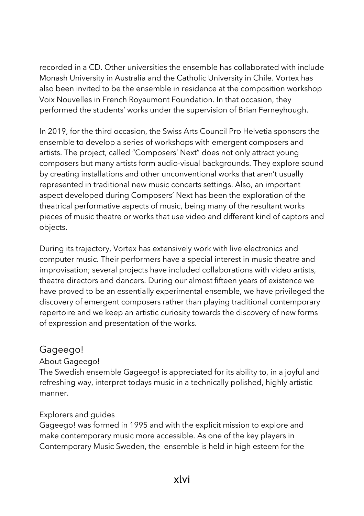recorded in a CD. Other universities the ensemble has collaborated with include Monash University in Australia and the Catholic University in Chile. Vortex has also been invited to be the ensemble in residence at the composition workshop Voix Nouvelles in French Royaumont Foundation. In that occasion, they performed the students' works under the supervision of Brian Ferneyhough.

In 2019, for the third occasion, the Swiss Arts Council Pro Helvetia sponsors the ensemble to develop a series of workshops with emergent composers and artists. The project, called "Composers' Next" does not only attract young composers but many artists form audio-visual backgrounds. They explore sound by creating installations and other unconventional works that aren't usually represented in traditional new music concerts settings. Also, an important aspect developed during Composers' Next has been the exploration of the theatrical performative aspects of music, being many of the resultant works pieces of music theatre or works that use video and different kind of captors and objects.

During its trajectory, Vortex has extensively work with live electronics and computer music. Their performers have a special interest in music theatre and improvisation; several projects have included collaborations with video artists, theatre directors and dancers. During our almost fifteen years of existence we have proved to be an essentially experimental ensemble, we have privileged the discovery of emergent composers rather than playing traditional contemporary repertoire and we keep an artistic curiosity towards the discovery of new forms of expression and presentation of the works.

#### Gageego!

#### About Gageego!

The Swedish ensemble Gageego! is appreciated for its ability to, in a joyful and refreshing way, interpret todays music in a technically polished, highly artistic manner.

#### Explorers and guides

Gageego! was formed in 1995 and with the explicit mission to explore and make contemporary music more accessible. As one of the key players in Contemporary Music Sweden, the ensemble is held in high esteem for the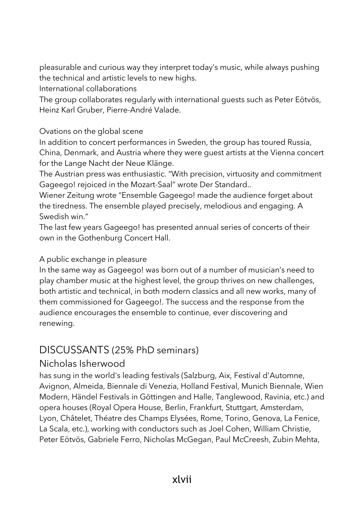pleasurable and curious way they interpret today's music, while always pushing the technical and artistic levels to new highs.

International collaborations

The group collaborates regularly with international guests such as Peter Eötvös, Heinz Karl Gruber, Pierre-André Valade.

#### Ovations on the global scene

In addition to concert performances in Sweden, the group has toured Russia, China, Denmark, and Austria where they were guest artists at the Vienna concert for the Lange Nacht der Neue Klänge.

The Austrian press was enthusiastic. "With precision, virtuosity and commitment Gageego! rejoiced in the Mozart-Saal" wrote Der Standard..

Wiener Zeitung wrote "Ensemble Gageego! made the audience forget about the tiredness. The ensemble played precisely, melodious and engaging. A Swedish win."

The last few years Gageego! has presented annual series of concerts of their own in the Gothenburg Concert Hall.

#### A public exchange in pleasure

In the same way as Gageego! was born out of a number of musician's need to play chamber music at the highest level, the group thrives on new challenges, both artistic and technical, in both modern classics and all new works, many of them commissioned for Gageego!. The success and the response from the audience encourages the ensemble to continue, ever discovering and renewing.

# DISCUSSANTS (25% PhD seminars)

#### Nicholas Isherwood

has sung in the world's leading festivals (Salzburg, Aix, Festival d'Automne, Avignon, Almeida, Biennale di Venezia, Holland Festival, Munich Biennale, Wien Modern, Händel Festivals in Göttingen and Halle, Tanglewood, Ravinia, etc.) and opera houses (Royal Opera House, Berlin, Frankfurt, Stuttgart, Amsterdam, Lyon, Châtelet, Théatre des Champs Elysées, Rome, Torino, Genova, La Fenice, La Scala, etc.), working with conductors such as Joel Cohen, William Christie, Peter Eötvös, Gabriele Ferro, Nicholas McGegan, Paul McCreesh, Zubin Mehta,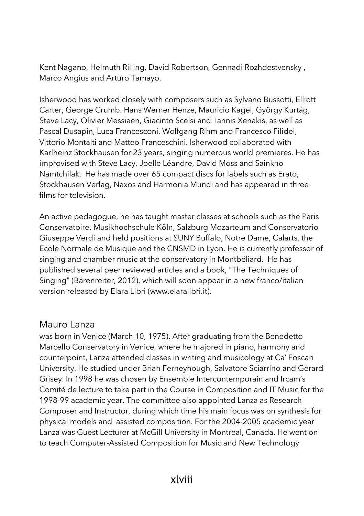Kent Nagano, Helmuth Rilling, David Robertson, Gennadi Rozhdestvensky , Marco Angius and Arturo Tamayo.

Isherwood has worked closely with composers such as Sylvano Bussotti, Elliott Carter, George Crumb. Hans Werner Henze, Mauricio Kagel, György Kurtág, Steve Lacy, Olivier Messiaen, Giacinto Scelsi and Iannis Xenakis, as well as Pascal Dusapin, Luca Francesconi, Wolfgang Rihm and Francesco Filidei, Vittorio Montalti and Matteo Franceschini. Isherwood collaborated with Karlheinz Stockhausen for 23 years, singing numerous world premieres. He has improvised with Steve Lacy, Joelle Léandre, David Moss and Sainkho Namtchilak. He has made over 65 compact discs for labels such as Erato, Stockhausen Verlag, Naxos and Harmonia Mundi and has appeared in three films for television.

An active pedagogue, he has taught master classes at schools such as the Paris Conservatoire, Musikhochschule Köln, Salzburg Mozarteum and Conservatorio Giuseppe Verdi and held positions at SUNY Buffalo, Notre Dame, Calarts, the Ecole Normale de Musique and the CNSMD in Lyon. He is currently professor of singing and chamber music at the conservatory in Montbéliard. He has published several peer reviewed articles and a book, "The Techniques of Singing" (Bärenreiter, 2012), which will soon appear in a new franco/italian version released by Elara Libri (www.elaralibri.it).

#### Mauro Lanza

was born in Venice (March 10, 1975). After graduating from the Benedetto Marcello Conservatory in Venice, where he majored in piano, harmony and counterpoint, Lanza attended classes in writing and musicology at Ca' Foscari University. He studied under Brian Ferneyhough, Salvatore Sciarrino and Gérard Grisey. In 1998 he was chosen by Ensemble Intercontemporain and Ircam's Comité de lecture to take part in the Course in Composition and IT Music for the 1998-99 academic year. The committee also appointed Lanza as Research Composer and Instructor, during which time his main focus was on synthesis for physical models and assisted composition. For the 2004-2005 academic year Lanza was Guest Lecturer at McGill University in Montreal, Canada. He went on to teach Computer-Assisted Composition for Music and New Technology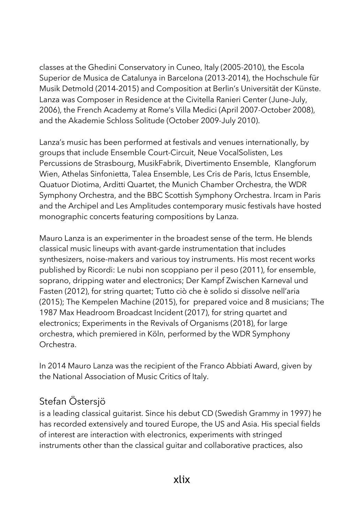classes at the Ghedini Conservatory in Cuneo, Italy (2005-2010), the Escola Superior de Musica de Catalunya in Barcelona (2013-2014), the Hochschule für Musik Detmold (2014-2015) and Composition at Berlin's Universität der Künste. Lanza was Composer in Residence at the Civitella Ranieri Center (June-July, 2006), the French Academy at Rome's Villa Medici (April 2007-October 2008), and the Akademie Schloss Solitude (October 2009-July 2010).

Lanza's music has been performed at festivals and venues internationally, by groups that include Ensemble Court-Circuit, Neue VocalSolisten, Les Percussions de Strasbourg, MusikFabrik, Divertimento Ensemble, Klangforum Wien, Athelas Sinfonietta, Talea Ensemble, Les Cris de Paris, Ictus Ensemble, Quatuor Diotima, Arditti Quartet, the Munich Chamber Orchestra, the WDR Symphony Orchestra, and the BBC Scottish Symphony Orchestra. Ircam in Paris and the Archipel and Les Amplitudes contemporary music festivals have hosted monographic concerts featuring compositions by Lanza.

Mauro Lanza is an experimenter in the broadest sense of the term. He blends classical music lineups with avant-garde instrumentation that includes synthesizers, noise-makers and various toy instruments. His most recent works published by Ricordi: Le nubi non scoppiano per il peso (2011), for ensemble, soprano, dripping water and electronics; Der Kampf Zwischen Karneval und Fasten (2012), for string quartet; Tutto ciò che è solido si dissolve nell'aria (2015); The Kempelen Machine (2015), for prepared voice and 8 musicians; The 1987 Max Headroom Broadcast Incident (2017), for string quartet and electronics; Experiments in the Revivals of Organisms (2018), for large orchestra, which premiered in Köln, performed by the WDR Symphony Orchestra.

In 2014 Mauro Lanza was the recipient of the Franco Abbiati Award, given by the National Association of Music Critics of Italy.

# Stefan Östersjö

is a leading classical guitarist. Since his debut CD (Swedish Grammy in 1997) he has recorded extensively and toured Europe, the US and Asia. His special fields of interest are interaction with electronics, experiments with stringed instruments other than the classical guitar and collaborative practices, also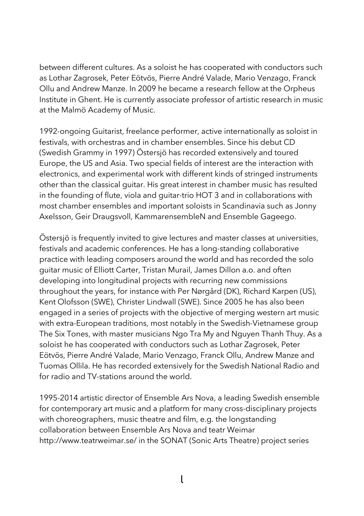between different cultures. As a soloist he has cooperated with conductors such as Lothar Zagrosek, Peter Eötvös, Pierre André Valade, Mario Venzago, Franck Ollu and Andrew Manze. In 2009 he became a research fellow at the Orpheus Institute in Ghent. He is currently associate professor of artistic research in music at the Malmö Academy of Music.

1992-ongoing Guitarist, freelance performer, active internationally as soloist in festivals, with orchestras and in chamber ensembles. Since his debut CD (Swedish Grammy in 1997) Östersjö has recorded extensively and toured Europe, the US and Asia. Two special fields of interest are the interaction with electronics, and experimental work with different kinds of stringed instruments other than the classical guitar. His great interest in chamber music has resulted in the founding of flute, viola and guitar-trio HOT 3 and in collaborations with most chamber ensembles and important soloists in Scandinavia such as Jonny Axelsson, Geir Draugsvoll, KammarensembleN and Ensemble Gageego.

Östersjö is frequently invited to give lectures and master classes at universities, festivals and academic conferences. He has a long-standing collaborative practice with leading composers around the world and has recorded the solo guitar music of Elliott Carter, Tristan Murail, James Dillon a.o. and often developing into longitudinal projects with recurring new commissions throughout the years, for instance with Per Nørgård (DK), Richard Karpen (US), Kent Olofsson (SWE), Christer Lindwall (SWE). Since 2005 he has also been engaged in a series of projects with the objective of merging western art music with extra-European traditions, most notably in the Swedish-Vietnamese group The Six Tones, with master musicians Ngo Tra My and Nguyen Thanh Thuy. As a soloist he has cooperated with conductors such as Lothar Zagrosek, Peter Eötvös, Pierre André Valade, Mario Venzago, Franck Ollu, Andrew Manze and Tuomas Ollila. He has recorded extensively for the Swedish National Radio and for radio and TV-stations around the world.

1995-2014 artistic director of Ensemble Ars Nova, a leading Swedish ensemble for contemporary art music and a platform for many cross-disciplinary projects with choreographers, music theatre and film, e.g. the longstanding collaboration between Ensemble Ars Nova and teatr Weimar http://www.teatrweimar.se/ in the SONAT (Sonic Arts Theatre) project series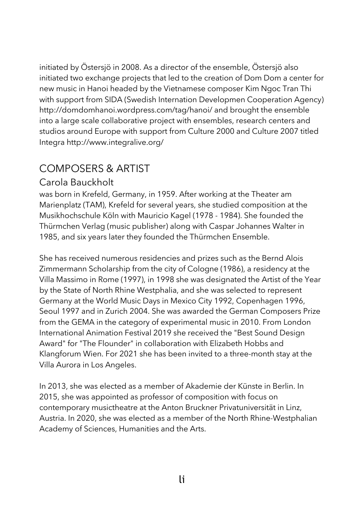initiated by Östersjö in 2008. As a director of the ensemble, Östersjö also initiated two exchange projects that led to the creation of Dom Dom a center for new music in Hanoi headed by the Vietnamese composer Kim Ngoc Tran Thi with support from SIDA (Swedish Internation Developmen Cooperation Agency) http://domdomhanoi.wordpress.com/tag/hanoi/ and brought the ensemble into a large scale collaborative project with ensembles, research centers and studios around Europe with support from Culture 2000 and Culture 2007 titled Integra http://www.integralive.org/

# COMPOSERS & ARTIST

#### Carola Bauckholt

was born in Krefeld, Germany, in 1959. After working at the Theater am Marienplatz (TAM), Krefeld for several years, she studied composition at the Musikhochschule Köln with Mauricio Kagel (1978 - 1984). She founded the Thürmchen Verlag (music publisher) along with Caspar Johannes Walter in 1985, and six years later they founded the Thürmchen Ensemble.

She has received numerous residencies and prizes such as the Bernd Alois Zimmermann Scholarship from the city of Cologne (1986), a residency at the Villa Massimo in Rome (1997), in 1998 she was designated the Artist of the Year by the State of North Rhine Westphalia, and she was selected to represent Germany at the World Music Days in Mexico City 1992, Copenhagen 1996, Seoul 1997 and in Zurich 2004. She was awarded the German Composers Prize from the GEMA in the category of experimental music in 2010. From London International Animation Festival 2019 she received the "Best Sound Design Award" for "The Flounder" in collaboration with Elizabeth Hobbs and Klangforum Wien. For 2021 she has been invited to a three-month stay at the Villa Aurora in Los Angeles.

In 2013, she was elected as a member of Akademie der Künste in Berlin. In 2015, she was appointed as professor of composition with focus on contemporary musictheatre at the Anton Bruckner Privatuniversität in Linz, Austria. In 2020, she was elected as a member of the North Rhine-Westphalian Academy of Sciences, Humanities and the Arts.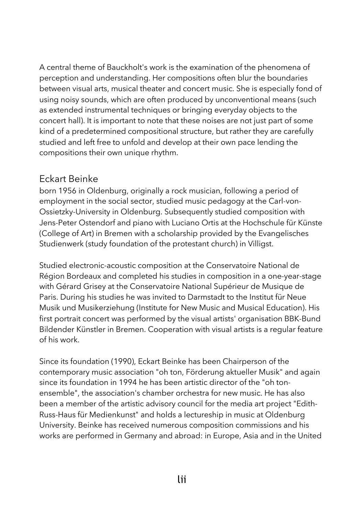A central theme of Bauckholt's work is the examination of the phenomena of perception and understanding. Her compositions often blur the boundaries between visual arts, musical theater and concert music. She is especially fond of using noisy sounds, which are often produced by unconventional means (such as extended instrumental techniques or bringing everyday objects to the concert hall). It is important to note that these noises are not just part of some kind of a predetermined compositional structure, but rather they are carefully studied and left free to unfold and develop at their own pace lending the compositions their own unique rhythm.

#### Eckart Beinke

born 1956 in Oldenburg, originally a rock musician, following a period of employment in the social sector, studied music pedagogy at the Carl-von-Ossietzky-University in Oldenburg. Subsequently studied composition with Jens-Peter Ostendorf and piano with Luciano Ortis at the Hochschule für Künste (College of Art) in Bremen with a scholarship provided by the Evangelisches Studienwerk (study foundation of the protestant church) in Villigst.

Studied electronic-acoustic composition at the Conservatoire National de Région Bordeaux and completed his studies in composition in a one-year-stage with Gérard Grisey at the Conservatoire National Supérieur de Musique de Paris. During his studies he was invited to Darmstadt to the Institut für Neue Musik und Musikerziehung (Institute for New Music and Musical Education). His first portrait concert was performed by the visual artists' organisation BBK-Bund Bildender Künstler in Bremen. Cooperation with visual artists is a regular feature of his work.

Since its foundation (1990), Eckart Beinke has been Chairperson of the contemporary music association "oh ton, Förderung aktueller Musik" and again since its foundation in 1994 he has been artistic director of the "oh tonensemble", the association's chamber orchestra for new music. He has also been a member of the artistic advisory council for the media art project "Edith-Russ-Haus für Medienkunst" and holds a lectureship in music at Oldenburg University. Beinke has received numerous composition commissions and his works are performed in Germany and abroad: in Europe, Asia and in the United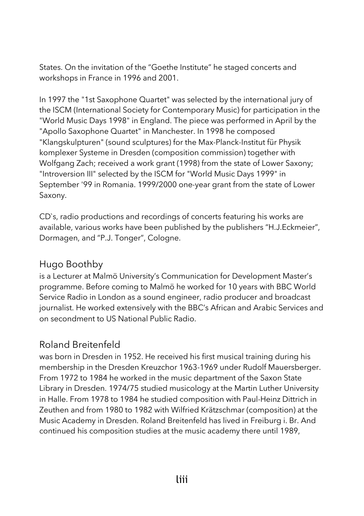States. On the invitation of the "Goethe Institute" he staged concerts and workshops in France in 1996 and 2001.

In 1997 the "1st Saxophone Quartet" was selected by the international jury of the ISCM (International Society for Contemporary Music) for participation in the "World Music Days 1998" in England. The piece was performed in April by the "Apollo Saxophone Quartet" in Manchester. In 1998 he composed "Klangskulpturen" (sound sculptures) for the Max-Planck-Institut für Physik komplexer Systeme in Dresden (composition commission) together with Wolfgang Zach; received a work grant (1998) from the state of Lower Saxony; "Introversion III" selected by the ISCM for "World Music Days 1999" in September '99 in Romania. 1999/2000 one-year grant from the state of Lower Saxony.

CD`s, radio productions and recordings of concerts featuring his works are available, various works have been published by the publishers "H.J.Eckmeier", Dormagen, and "P.J. Tonger", Cologne.

#### Hugo Boothby

is a Lecturer at Malmö University's Communication for Development Master's programme. Before coming to Malmö he worked for 10 years with BBC World Service Radio in London as a sound engineer, radio producer and broadcast journalist. He worked extensively with the BBC's African and Arabic Services and on secondment to US National Public Radio.

#### Roland Breitenfeld

was born in Dresden in 1952. He received his first musical training during his membership in the Dresden Kreuzchor 1963-1969 under Rudolf Mauersberger. From 1972 to 1984 he worked in the music department of the Saxon State Library in Dresden. 1974/75 studied musicology at the Martin Luther University in Halle. From 1978 to 1984 he studied composition with Paul-Heinz Dittrich in Zeuthen and from 1980 to 1982 with Wilfried Krätzschmar (composition) at the Music Academy in Dresden. Roland Breitenfeld has lived in Freiburg i. Br. And continued his composition studies at the music academy there until 1989,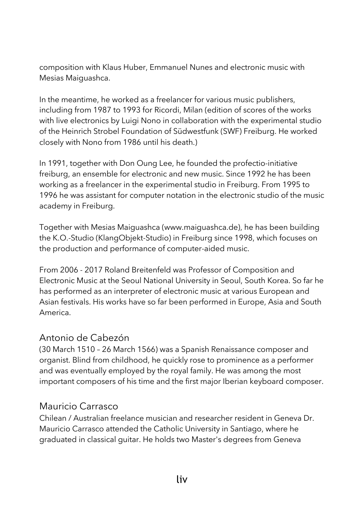composition with Klaus Huber, Emmanuel Nunes and electronic music with Mesias Maiguashca.

In the meantime, he worked as a freelancer for various music publishers, including from 1987 to 1993 for Ricordi, Milan (edition of scores of the works with live electronics by Luigi Nono in collaboration with the experimental studio of the Heinrich Strobel Foundation of Südwestfunk (SWF) Freiburg. He worked closely with Nono from 1986 until his death.)

In 1991, together with Don Oung Lee, he founded the profectio-initiative freiburg, an ensemble for electronic and new music. Since 1992 he has been working as a freelancer in the experimental studio in Freiburg. From 1995 to 1996 he was assistant for computer notation in the electronic studio of the music academy in Freiburg.

Together with Mesias Maiguashca (www.maiguashca.de), he has been building the K.O.-Studio (KlangObjekt-Studio) in Freiburg since 1998, which focuses on the production and performance of computer-aided music.

From 2006 - 2017 Roland Breitenfeld was Professor of Composition and Electronic Music at the Seoul National University in Seoul, South Korea. So far he has performed as an interpreter of electronic music at various European and Asian festivals. His works have so far been performed in Europe, Asia and South America.

#### Antonio de Cabezón

(30 March 1510 – 26 March 1566) was a Spanish Renaissance composer and organist. Blind from childhood, he quickly rose to prominence as a performer and was eventually employed by the royal family. He was among the most important composers of his time and the first major Iberian keyboard composer.

#### Mauricio Carrasco

Chilean / Australian freelance musician and researcher resident in Geneva Dr. Mauricio Carrasco attended the Catholic University in Santiago, where he graduated in classical guitar. He holds two Master's degrees from Geneva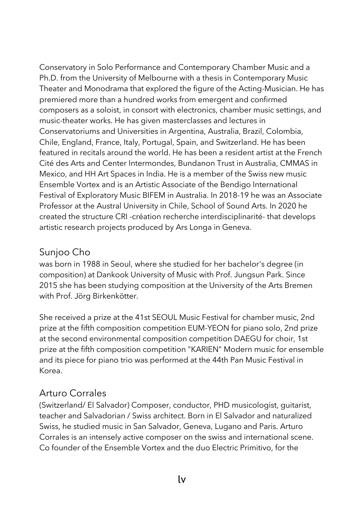Conservatory in Solo Performance and Contemporary Chamber Music and a Ph.D. from the University of Melbourne with a thesis in Contemporary Music Theater and Monodrama that explored the figure of the Acting-Musician. He has premiered more than a hundred works from emergent and confirmed composers as a soloist, in consort with electronics, chamber music settings, and music-theater works. He has given masterclasses and lectures in Conservatoriums and Universities in Argentina, Australia, Brazil, Colombia, Chile, England, France, Italy, Portugal, Spain, and Switzerland. He has been featured in recitals around the world. He has been a resident artist at the French Cité des Arts and Center Intermondes, Bundanon Trust in Australia, CMMAS in Mexico, and HH Art Spaces in India. He is a member of the Swiss new music Ensemble Vortex and is an Artistic Associate of the Bendigo International Festival of Exploratory Music BIFEM in Australia. In 2018-19 he was an Associate Professor at the Austral University in Chile, School of Sound Arts. In 2020 he created the structure CRI -création recherche interdisciplinarité- that develops artistic research projects produced by Ars Longa in Geneva.

## Sunjoo Cho

was born in 1988 in Seoul, where she studied for her bachelor's degree (in composition) at Dankook University of Music with Prof. Jungsun Park. Since 2015 she has been studying composition at the University of the Arts Bremen with Prof. Jörg Birkenkötter.

She received a prize at the 41st SEOUL Music Festival for chamber music, 2nd prize at the fifth composition competition EUM-YEON for piano solo, 2nd prize at the second environmental composition competition DAEGU for choir, 1st prize at the fifth composition competition "KARIEN" Modern music for ensemble and its piece for piano trio was performed at the 44th Pan Music Festival in Korea.

#### Arturo Corrales

(Switzerland/ El Salvador) Composer, conductor, PHD musicologist, guitarist, teacher and Salvadorian / Swiss architect. Born in El Salvador and naturalized Swiss, he studied music in San Salvador, Geneva, Lugano and Paris. Arturo Corrales is an intensely active composer on the swiss and international scene. Co founder of the Ensemble Vortex and the duo Electric Primitivo, for the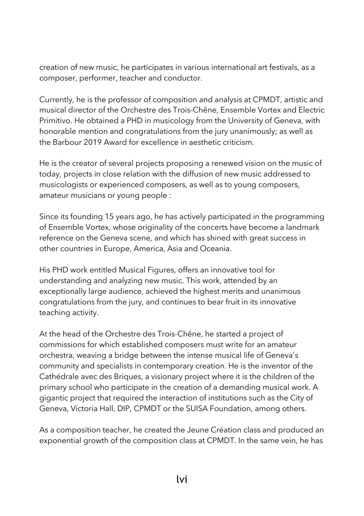creation of new music, he participates in various international art festivals, as a composer, performer, teacher and conductor.

Currently, he is the professor of composition and analysis at CPMDT, artistic and musical director of the Orchestre des Trois-Chêne, Ensemble Vortex and Electric Primitivo. He obtained a PHD in musicology from the University of Geneva, with honorable mention and congratulations from the jury unanimously; as well as the Barbour 2019 Award for excellence in aesthetic criticism.

He is the creator of several projects proposing a renewed vision on the music of today, projects in close relation with the diffusion of new music addressed to musicologists or experienced composers, as well as to young composers, amateur musicians or young people :

Since its founding 15 years ago, he has actively participated in the programming of Ensemble Vortex, whose originality of the concerts have become a landmark reference on the Geneva scene, and which has shined with great success in other countries in Europe, America, Asia and Oceania.

His PHD work entitled Musical Figures, offers an innovative tool for understanding and analyzing new music. This work, attended by an exceptionally large audience, achieved the highest merits and unanimous congratulations from the jury, and continues to bear fruit in its innovative teaching activity.

At the head of the Orchestre des Trois-Chêne, he started a project of commissions for which established composers must write for an amateur orchestra, weaving a bridge between the intense musical life of Geneva's community and specialists in contemporary creation. He is the inventor of the Cathédrale avec des Briques, a visionary project where it is the children of the primary school who participate in the creation of a demanding musical work. A gigantic project that required the interaction of institutions such as the City of Geneva, Victoria Hall, DIP, CPMDT or the SUISA Foundation, among others.

As a composition teacher, he created the Jeune Création class and produced an exponential growth of the composition class at CPMDT. In the same vein, he has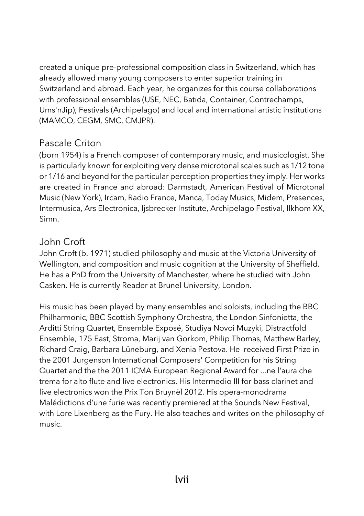created a unique pre-professional composition class in Switzerland, which has already allowed many young composers to enter superior training in Switzerland and abroad. Each year, he organizes for this course collaborations with professional ensembles (USE, NEC, Batida, Container, Contrechamps, Ums'nJip), Festivals (Archipelago) and local and international artistic institutions (MAMCO, CEGM, SMC, CMJPR).

## Pascale Criton

(born 1954) is a French composer of contemporary music, and musicologist. She is particularly known for exploiting very dense microtonal scales such as 1/12 tone or 1/16 and beyond for the particular perception properties they imply. Her works are created in France and abroad: Darmstadt, American Festival of Microtonal Music (New York), Ircam, Radio France, Manca, Today Musics, Midem, Presences, Intermusica, Ars Electronica, Ijsbrecker Institute, Archipelago Festival, Ilkhom XX, Simn.

#### John Croft

John Croft (b. 1971) studied philosophy and music at the Victoria University of Wellington, and composition and music cognition at the University of Sheffield. He has a PhD from the University of Manchester, where he studied with John Casken. He is currently Reader at Brunel University, London.

His music has been played by many ensembles and soloists, including the BBC Philharmonic, BBC Scottish Symphony Orchestra, the London Sinfonietta, the Arditti String Quartet, Ensemble Exposé, Studiya Novoi Muzyki, Distractfold Ensemble, 175 East, Stroma, Marij van Gorkom, Philip Thomas, Matthew Barley, Richard Craig, Barbara Lüneburg, and Xenia Pestova. He received First Prize in the 2001 Jurgenson International Composers' Competition for his String Quartet and the the 2011 ICMA European Regional Award for ...ne l'aura che trema for alto flute and live electronics. His Intermedio III for bass clarinet and live electronics won the Prix Ton Bruynèl 2012. His opera-monodrama Malédictions d'une furie was recently premiered at the Sounds New Festival, with Lore Lixenberg as the Fury. He also teaches and writes on the philosophy of music.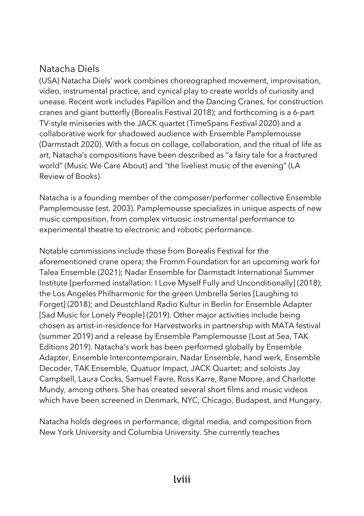## Natacha Diels

(USA) Natacha Diels' work combines choreographed movement, improvisation, video, instrumental practice, and cynical play to create worlds of curiosity and unease. Recent work includes Papillon and the Dancing Cranes, for construction cranes and giant butterfly (Borealis Festival 2018); and forthcoming is a 6-part TV-style miniseries with the JACK quartet (TimeSpans Festival 2020) and a collaborative work for shadowed audience with Ensemble Pamplemousse (Darmstadt 2020). With a focus on collage, collaboration, and the ritual of life as art, Natacha's compositions have been described as "a fairy tale for a fractured world" (Music We Care About) and "the liveliest music of the evening" (LA Review of Books).

Natacha is a founding member of the composer/performer collective Ensemble Pamplemousse (est. 2003). Pamplemousse specializes in unique aspects of new music composition, from complex virtuosic instrumental performance to experimental theatre to electronic and robotic performance.

Notable commissions include those from Borealis Festival for the aforementioned crane opera; the Fromm Foundation for an upcoming work for Talea Ensemble (2021); Nadar Ensemble for Darmstadt International Summer Institute [performed installation: I Love Myself Fully and Unconditionally] (2018); the Los Angeles Philharmonic for the green Umbrella Series [Laughing to Forget] (2018); and Deustchland Radio Kultur in Berlin for Ensemble Adapter [Sad Music for Lonely People] (2019). Other major activities include being chosen as artist-in-residence for Harvestworks in partnership with MATA festival (summer 2019) and a release by Ensemble Pamplemousse (Lost at Sea, TAK Editions 2019). Natacha's work has been performed globally by Ensemble Adapter, Ensemble Intercontemporain, Nadar Ensemble, hand werk, Ensemble Decoder, TAK Ensemble, Quatuor Impact, JACK Quartet; and soloists Jay Campbell, Laura Cocks, Samuel Favre, Ross Karre, Rane Moore, and Charlotte Mundy, among others. She has created several short films and music videos which have been screened in Denmark, NYC, Chicago, Budapest, and Hungary.

Natacha holds degrees in performance, digital media, and composition from New York University and Columbia University. She currently teaches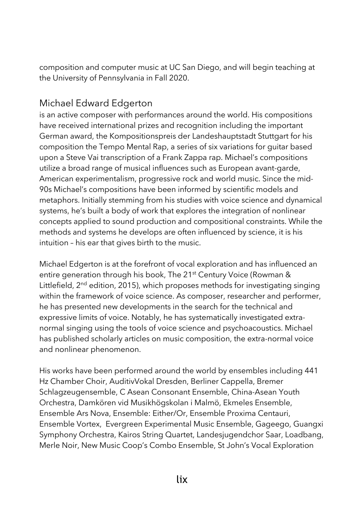composition and computer music at UC San Diego, and will begin teaching at the University of Pennsylvania in Fall 2020.

# Michael Edward Edgerton

is an active composer with performances around the world. His compositions have received international prizes and recognition including the important German award, the Kompositionspreis der Landeshauptstadt Stuttgart for his composition the Tempo Mental Rap, a series of six variations for guitar based upon a Steve Vai transcription of a Frank Zappa rap. Michael's compositions utilize a broad range of musical influences such as European avant-garde, American experimentalism, progressive rock and world music. Since the mid-90s Michael's compositions have been informed by scientific models and metaphors. Initially stemming from his studies with voice science and dynamical systems, he's built a body of work that explores the integration of nonlinear concepts applied to sound production and compositional constraints. While the methods and systems he develops are often influenced by science, it is his intuition – his ear that gives birth to the music.

Michael Edgerton is at the forefront of vocal exploration and has influenced an entire generation through his book, The 21<sup>st</sup> Century Voice (Rowman & Littlefield,  $2^{nd}$  edition, 2015), which proposes methods for investigating singing within the framework of voice science. As composer, researcher and performer, he has presented new developments in the search for the technical and expressive limits of voice. Notably, he has systematically investigated extranormal singing using the tools of voice science and psychoacoustics. Michael has published scholarly articles on music composition, the extra-normal voice and nonlinear phenomenon.

His works have been performed around the world by ensembles including 441 Hz Chamber Choir, AuditivVokal Dresden, Berliner Cappella, Bremer Schlagzeugensemble, C Asean Consonant Ensemble, China-Asean Youth Orchestra, Damkören vid Musikhögskolan i Malmö, Ekmeles Ensemble, Ensemble Ars Nova, Ensemble: Either/Or, Ensemble Proxima Centauri, Ensemble Vortex, Evergreen Experimental Music Ensemble, Gageego, Guangxi Symphony Orchestra, Kairos String Quartet, Landesjugendchor Saar, Loadbang, Merle Noir, New Music Coop's Combo Ensemble, St John's Vocal Exploration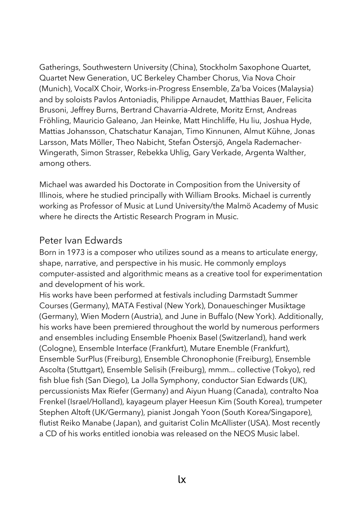Gatherings, Southwestern University (China), Stockholm Saxophone Quartet, Quartet New Generation, UC Berkeley Chamber Chorus, Via Nova Choir (Munich), VocalX Choir, Works-in-Progress Ensemble, Za'ba Voices (Malaysia) and by soloists Pavlos Antoniadis, Philippe Arnaudet, Matthias Bauer, Felicita Brusoni, Jeffrey Burns, Bertrand Chavarria-Aldrete, Moritz Ernst, Andreas Fröhling, Mauricio Galeano, Jan Heinke, Matt Hinchliffe, Hu liu, Joshua Hyde, Mattias Johansson, Chatschatur Kanajan, Timo Kinnunen, Almut Kühne, Jonas Larsson, Mats Möller, Theo Nabicht, Stefan Östersjö, Angela Rademacher-Wingerath, Simon Strasser, Rebekka Uhlig, Gary Verkade, Argenta Walther, among others.

Michael was awarded his Doctorate in Composition from the University of Illinois, where he studied principally with William Brooks. Michael is currently working as Professor of Music at Lund University/the Malmö Academy of Music where he directs the Artistic Research Program in Music.

#### Peter Ivan Edwards

Born in 1973 is a composer who utilizes sound as a means to articulate energy, shape, narrative, and perspective in his music. He commonly employs computer-assisted and algorithmic means as a creative tool for experimentation and development of his work.

His works have been performed at festivals including Darmstadt Summer Courses (Germany), MATA Festival (New York), Donaueschinger Musiktage (Germany), Wien Modern (Austria), and June in Buffalo (New York). Additionally, his works have been premiered throughout the world by numerous performers and ensembles including Ensemble Phoenix Basel (Switzerland), hand werk (Cologne), Ensemble Interface (Frankfurt), Mutare Enemble (Frankfurt), Ensemble SurPlus (Freiburg), Ensemble Chronophonie (Freiburg), Ensemble Ascolta (Stuttgart), Ensemble Selisih (Freiburg), mmm... collective (Tokyo), red fish blue fish (San Diego), La Jolla Symphony, conductor Sian Edwards (UK), percussionists Max Riefer (Germany) and Aiyun Huang (Canada), contralto Noa Frenkel (Israel/Holland), kayageum player Heesun Kim (South Korea), trumpeter Stephen Altoft (UK/Germany), pianist Jongah Yoon (South Korea/Singapore), flutist Reiko Manabe (Japan), and guitarist Colin McAllister (USA). Most recently a CD of his works entitled ionobia was released on the NEOS Music label.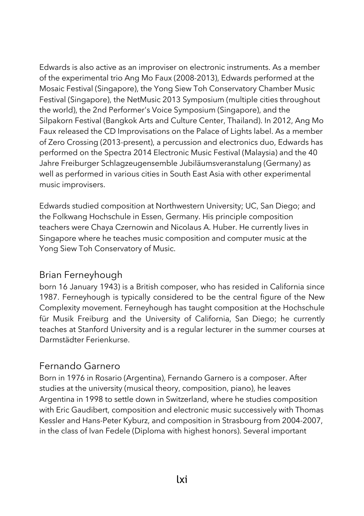Edwards is also active as an improviser on electronic instruments. As a member of the experimental trio Ang Mo Faux (2008-2013), Edwards performed at the Mosaic Festival (Singapore), the Yong Siew Toh Conservatory Chamber Music Festival (Singapore), the NetMusic 2013 Symposium (multiple cities throughout the world), the 2nd Performer's Voice Symposium (Singapore), and the Silpakorn Festival (Bangkok Arts and Culture Center, Thailand). In 2012, Ang Mo Faux released the CD Improvisations on the Palace of Lights label. As a member of Zero Crossing (2013-present), a percussion and electronics duo, Edwards has performed on the Spectra 2014 Electronic Music Festival (Malaysia) and the 40 Jahre Freiburger Schlagzeugensemble Jubiläumsveranstalung (Germany) as well as performed in various cities in South East Asia with other experimental music improvisers.

Edwards studied composition at Northwestern University; UC, San Diego; and the Folkwang Hochschule in Essen, Germany. His principle composition teachers were Chaya Czernowin and Nicolaus A. Huber. He currently lives in Singapore where he teaches music composition and computer music at the Yong Siew Toh Conservatory of Music.

#### Brian Ferneyhough

born 16 January 1943) is a British composer, who has resided in California since 1987. Ferneyhough is typically considered to be the central figure of the New Complexity movement. Ferneyhough has taught composition at the Hochschule für Musik Freiburg and the University of California, San Diego; he currently teaches at Stanford University and is a regular lecturer in the summer courses at Darmstädter Ferienkurse.

#### Fernando Garnero

Born in 1976 in Rosario (Argentina), Fernando Garnero is a composer. After studies at the university (musical theory, composition, piano), he leaves Argentina in 1998 to settle down in Switzerland, where he studies composition with Eric Gaudibert, composition and electronic music successively with Thomas Kessler and Hans-Peter Kyburz, and composition in Strasbourg from 2004-2007, in the class of Ivan Fedele (Diploma with highest honors). Several important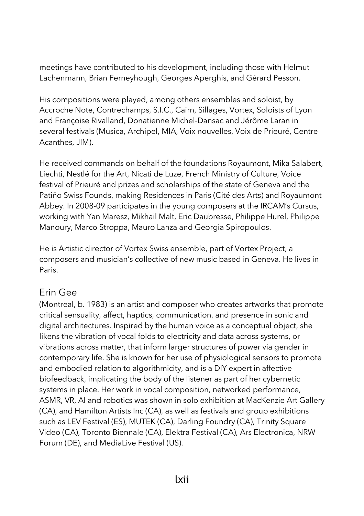meetings have contributed to his development, including those with Helmut Lachenmann, Brian Ferneyhough, Georges Aperghis, and Gérard Pesson.

His compositions were played, among others ensembles and soloist, by Accroche Note, Contrechamps, S.I.C., Cairn, Sillages, Vortex, Soloists of Lyon and Françoise Rivalland, Donatienne Michel-Dansac and Jérôme Laran in several festivals (Musica, Archipel, MIA, Voix nouvelles, Voix de Prieuré, Centre Acanthes, JIM).

He received commands on behalf of the foundations Royaumont, Mika Salabert, Liechti, Nestlé for the Art, Nicati de Luze, French Ministry of Culture, Voice festival of Prieuré and prizes and scholarships of the state of Geneva and the Patiño Swiss Founds, making Residences in Paris (Cité des Arts) and Royaumont Abbey. In 2008-09 participates in the young composers at the IRCAM's Cursus, working with Yan Maresz, Mikhail Malt, Eric Daubresse, Philippe Hurel, Philippe Manoury, Marco Stroppa, Mauro Lanza and Georgia Spiropoulos.

He is Artistic director of Vortex Swiss ensemble, part of Vortex Project, a composers and musician's collective of new music based in Geneva. He lives in Paris.

#### Erin Gee

(Montreal, b. 1983) is an artist and composer who creates artworks that promote critical sensuality, affect, haptics, communication, and presence in sonic and digital architectures. Inspired by the human voice as a conceptual object, she likens the vibration of vocal folds to electricity and data across systems, or vibrations across matter, that inform larger structures of power via gender in contemporary life. She is known for her use of physiological sensors to promote and embodied relation to algorithmicity, and is a DIY expert in affective biofeedback, implicating the body of the listener as part of her cybernetic systems in place. Her work in vocal composition, networked performance, ASMR, VR, AI and robotics was shown in solo exhibition at MacKenzie Art Gallery (CA), and Hamilton Artists Inc (CA), as well as festivals and group exhibitions such as LEV Festival (ES), MUTEK (CA), Darling Foundry (CA), Trinity Square Video (CA), Toronto Biennale (CA), Elektra Festival (CA), Ars Electronica, NRW Forum (DE), and MediaLive Festival (US).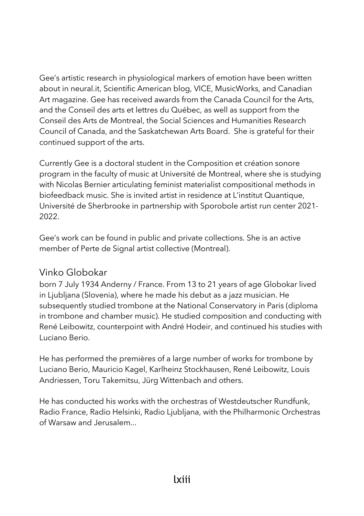Gee's artistic research in physiological markers of emotion have been written about in neural.it, Scientific American blog, VICE, MusicWorks, and Canadian Art magazine. Gee has received awards from the Canada Council for the Arts, and the Conseil des arts et lettres du Québec, as well as support from the Conseil des Arts de Montreal, the Social Sciences and Humanities Research Council of Canada, and the Saskatchewan Arts Board. She is grateful for their continued support of the arts.

Currently Gee is a doctoral student in the Composition et création sonore program in the faculty of music at Université de Montreal, where she is studying with Nicolas Bernier articulating feminist materialist compositional methods in biofeedback music. She is invited artist in residence at L'institut Quantique, Université de Sherbrooke in partnership with Sporobole artist run center 2021- 2022.

Gee's work can be found in public and private collections. She is an active member of Perte de Signal artist collective (Montreal).

# Vinko Globokar

born 7 July 1934 Anderny / France. From 13 to 21 years of age Globokar lived in Ljubljana (Slovenia), where he made his debut as a jazz musician. He subsequently studied trombone at the National Conservatory in Paris (diploma in trombone and chamber music). He studied composition and conducting with René Leibowitz, counterpoint with André Hodeir, and continued his studies with Luciano Berio.

He has performed the premières of a large number of works for trombone by Luciano Berio, Mauricio Kagel, Karlheinz Stockhausen, René Leibowitz, Louis Andriessen, Toru Takemitsu, Jürg Wittenbach and others.

He has conducted his works with the orchestras of Westdeutscher Rundfunk, Radio France, Radio Helsinki, Radio Ljubljana, with the Philharmonic Orchestras of Warsaw and Jerusalem...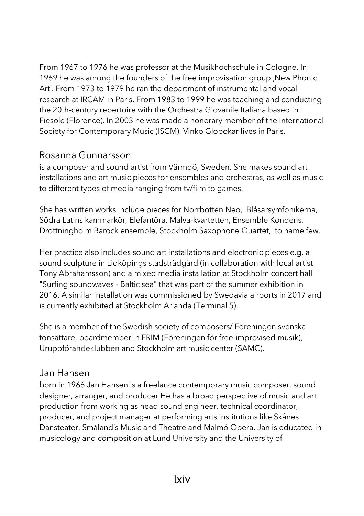From 1967 to 1976 he was professor at the Musikhochschule in Cologne. In 1969 he was among the founders of the free improvisation group , New Phonic Art'. From 1973 to 1979 he ran the department of instrumental and vocal research at IRCAM in Paris. From 1983 to 1999 he was teaching and conducting the 20th-century repertoire with the Orchestra Giovanile Italiana based in Fiesole (Florence). In 2003 he was made a honorary member of the International Society for Contemporary Music (ISCM). Vinko Globokar lives in Paris.

#### Rosanna Gunnarsson

is a composer and sound artist from Värmdö, Sweden. She makes sound art installations and art music pieces for ensembles and orchestras, as well as music to different types of media ranging from tv/film to games.

She has written works include pieces for Norrbotten Neo, Blåsarsymfonikerna, Södra Latins kammarkör, Elefantöra, Malva-kvartetten, Ensemble Kondens, Drottningholm Barock ensemble, Stockholm Saxophone Quartet, to name few.

Her practice also includes sound art installations and electronic pieces e.g. a sound sculpture in Lidköpings stadsträdgård (in collaboration with local artist Tony Abrahamsson) and a mixed media installation at Stockholm concert hall "Surfing soundwaves - Baltic sea" that was part of the summer exhibition in 2016. A similar installation was commissioned by Swedavia airports in 2017 and is currently exhibited at Stockholm Arlanda (Terminal 5).

She is a member of the Swedish society of composers/ Föreningen svenska tonsättare, boardmember in FRIM (Föreningen för free-improvised musik), Uruppförandeklubben and Stockholm art music center (SAMC).

#### Jan Hansen

born in 1966 Jan Hansen is a freelance contemporary music composer, sound designer, arranger, and producer He has a broad perspective of music and art production from working as head sound engineer, technical coordinator, producer, and project manager at performing arts institutions like Skånes Dansteater, Småland's Music and Theatre and Malmö Opera. Jan is educated in musicology and composition at Lund University and the University of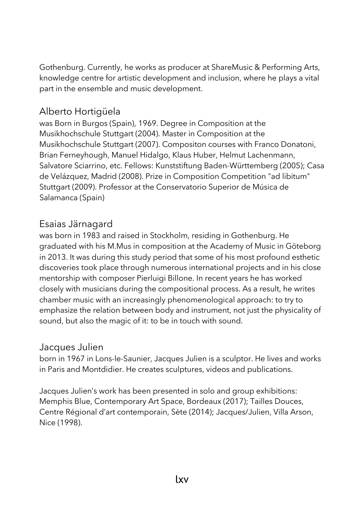Gothenburg. Currently, he works as producer at ShareMusic & Performing Arts, knowledge centre for artistic development and inclusion, where he plays a vital part in the ensemble and music development.

# Alberto Hortigüela

was Born in Burgos (Spain), 1969. Degree in Composition at the Musikhochschule Stuttgart (2004). Master in Composition at the Musikhochschule Stuttgart (2007). Compositon courses with Franco Donatoni, Brian Ferneyhough, Manuel Hidalgo, Klaus Huber, Helmut Lachenmann, Salvatore Sciarrino, etc. Fellows: Kunststiftung Baden-Württemberg (2005); Casa de Velázquez, Madrid (2008). Prize in Composition Competition "ad libitum" Stuttgart (2009). Professor at the Conservatorio Superior de Música de Salamanca (Spain)

## Esaias Järnagard

was born in 1983 and raised in Stockholm, residing in Gothenburg. He graduated with his M.Mus in composition at the Academy of Music in Göteborg in 2013. It was during this study period that some of his most profound esthetic discoveries took place through numerous international projects and in his close mentorship with composer Pierluigi Billone. In recent years he has worked closely with musicians during the compositional process. As a result, he writes chamber music with an increasingly phenomenological approach: to try to emphasize the relation between body and instrument, not just the physicality of sound, but also the magic of it: to be in touch with sound.

#### Jacques Julien

born in 1967 in Lons-le-Saunier, Jacques Julien is a sculptor. He lives and works in Paris and Montdidier. He creates sculptures, videos and publications.

Jacques Julien's work has been presented in solo and group exhibitions: Memphis Blue, Contemporary Art Space, Bordeaux (2017); Tailles Douces, Centre Régional d'art contemporain, Sète (2014); Jacques/Julien, Villa Arson, Nice (1998).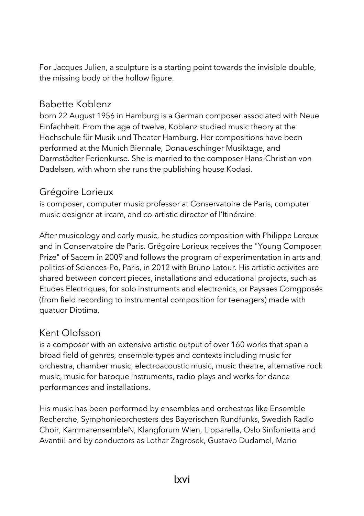For Jacques Julien, a sculpture is a starting point towards the invisible double, the missing body or the hollow figure.

## Babette Koblenz

born 22 August 1956 in Hamburg is a German composer associated with Neue Einfachheit. From the age of twelve, Koblenz studied music theory at the Hochschule für Musik und Theater Hamburg. Her compositions have been performed at the Munich Biennale, Donaueschinger Musiktage, and Darmstädter Ferienkurse. She is married to the composer Hans-Christian von Dadelsen, with whom she runs the publishing house Kodasi.

## Grégoire Lorieux

is composer, computer music professor at Conservatoire de Paris, computer music designer at ircam, and co-artistic director of l'Itinéraire.

After musicology and early music, he studies composition with Philippe Leroux and in Conservatoire de Paris. Grégoire Lorieux receives the "Young Composer Prize" of Sacem in 2009 and follows the program of experimentation in arts and politics of Sciences-Po, Paris, in 2012 with Bruno Latour. His artistic activites are shared between concert pieces, installations and educational projects, such as Etudes Electriques, for solo instruments and electronics, or Paysaes Comgposés (from field recording to instrumental composition for teenagers) made with quatuor Diotima.

# Kent Olofsson

is a composer with an extensive artistic output of over 160 works that span a broad field of genres, ensemble types and contexts including music for orchestra, chamber music, electroacoustic music, music theatre, alternative rock music, music for baroque instruments, radio plays and works for dance performances and installations.

His music has been performed by ensembles and orchestras like Ensemble Recherche, Symphonieorchesters des Bayerischen Rundfunks, Swedish Radio Choir, KammarensembleN, Klangforum Wien, Lipparella, Oslo Sinfonietta and Avantii! and by conductors as Lothar Zagrosek, Gustavo Dudamel, Mario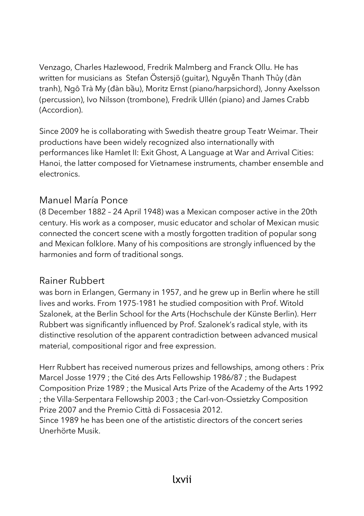Venzago, Charles Hazlewood, Fredrik Malmberg and Franck Ollu. He has written for musicians as Stefan Östersjö (guitar), Nguyễn Thanh Thủy (đàn tranh), Ngô Trà My (đàn bầu), Moritz Ernst (piano/harpsichord), Jonny Axelsson (percussion), Ivo Nilsson (trombone), Fredrik Ullén (piano) and James Crabb (Accordion).

Since 2009 he is collaborating with Swedish theatre group Teatr Weimar. Their productions have been widely recognized also internationally with performances like Hamlet II: Exit Ghost, A Language at War and Arrival Cities: Hanoi, the latter composed for Vietnamese instruments, chamber ensemble and electronics.

#### Manuel María Ponce

(8 December 1882 – 24 April 1948) was a Mexican composer active in the 20th century. His work as a composer, music educator and scholar of Mexican music connected the concert scene with a mostly forgotten tradition of popular song and Mexican folklore. Many of his compositions are strongly influenced by the harmonies and form of traditional songs.

#### Rainer Rubbert

was born in Erlangen, Germany in 1957, and he grew up in Berlin where he still lives and works. From 1975-1981 he studied composition with Prof. Witold Szalonek, at the Berlin School for the Arts (Hochschule der Künste Berlin). Herr Rubbert was significantly influenced by Prof. Szalonek's radical style, with its distinctive resolution of the apparent contradiction between advanced musical material, compositional rigor and free expression.

Herr Rubbert has received numerous prizes and fellowships, among others : Prix Marcel Josse 1979 ; the Cité des Arts Fellowship 1986/87 ; the Budapest Composition Prize 1989 ; the Musical Arts Prize of the Academy of the Arts 1992 ; the Villa-Serpentara Fellowship 2003 ; the Carl-von-Ossietzky Composition Prize 2007 and the Premio Città di Fossacesia 2012.

Since 1989 he has been one of the artististic directors of the concert series Unerhörte Musik.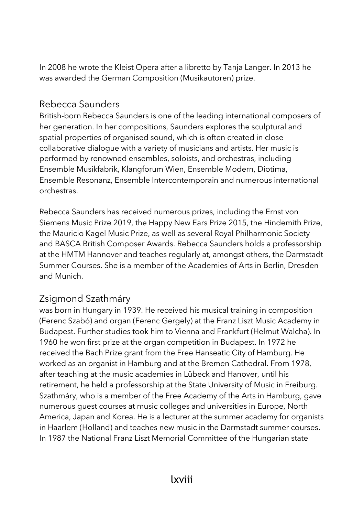In 2008 he wrote the Kleist Opera after a libretto by Tanja Langer. In 2013 he was awarded the German Composition (Musikautoren) prize.

### Rebecca Saunders

British-born Rebecca Saunders is one of the leading international composers of her generation. In her compositions, Saunders explores the sculptural and spatial properties of organised sound, which is often created in close collaborative dialogue with a variety of musicians and artists. Her music is performed by renowned ensembles, soloists, and orchestras, including Ensemble Musikfabrik, Klangforum Wien, Ensemble Modern, Diotima, Ensemble Resonanz, Ensemble Intercontemporain and numerous international orchestras.

Rebecca Saunders has received numerous prizes, including the Ernst von Siemens Music Prize 2019, the Happy New Ears Prize 2015, the Hindemith Prize, the Mauricio Kagel Music Prize, as well as several Royal Philharmonic Society and BASCA British Composer Awards. Rebecca Saunders holds a professorship at the HMTM Hannover and teaches regularly at, amongst others, the Darmstadt Summer Courses. She is a member of the Academies of Arts in Berlin, Dresden and Munich.

# Zsigmond Szathmáry

was born in Hungary in 1939. He received his musical training in composition (Ferenc Szabó) and organ (Ferenc Gergely) at the Franz Liszt Music Academy in Budapest. Further studies took him to Vienna and Frankfurt (Helmut Walcha). In 1960 he won first prize at the organ competition in Budapest. In 1972 he received the Bach Prize grant from the Free Hanseatic City of Hamburg. He worked as an organist in Hamburg and at the Bremen Cathedral. From 1978, after teaching at the music academies in Lübeck and Hanover, until his retirement, he held a professorship at the State University of Music in Freiburg. Szathmáry, who is a member of the Free Academy of the Arts in Hamburg, gave numerous guest courses at music colleges and universities in Europe, North America, Japan and Korea. He is a lecturer at the summer academy for organists in Haarlem (Holland) and teaches new music in the Darmstadt summer courses. In 1987 the National Franz Liszt Memorial Committee of the Hungarian state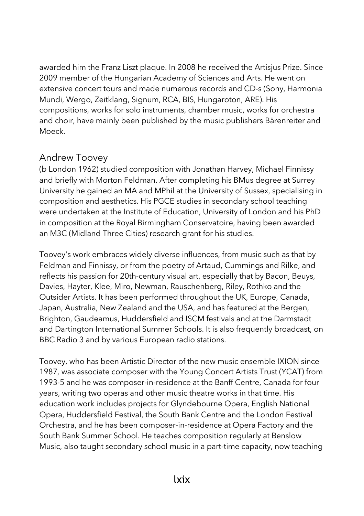awarded him the Franz Liszt plaque. In 2008 he received the Artisjus Prize. Since 2009 member of the Hungarian Academy of Sciences and Arts. He went on extensive concert tours and made numerous records and CD-s (Sony, Harmonia Mundi, Wergo, Zeitklang, Signum, RCA, BIS, Hungaroton, ARE). His compositions, works for solo instruments, chamber music, works for orchestra and choir, have mainly been published by the music publishers Bärenreiter and Moeck.

#### Andrew Toovey

(b London 1962) studied composition with Jonathan Harvey, Michael Finnissy and briefly with Morton Feldman. After completing his BMus degree at Surrey University he gained an MA and MPhil at the University of Sussex, specialising in composition and aesthetics. His PGCE studies in secondary school teaching were undertaken at the Institute of Education, University of London and his PhD in composition at the Royal Birmingham Conservatoire, having been awarded an M3C (Midland Three Cities) research grant for his studies.

Toovey's work embraces widely diverse influences, from music such as that by Feldman and Finnissy, or from the poetry of Artaud, Cummings and Rilke, and reflects his passion for 20th-century visual art, especially that by Bacon, Beuys, Davies, Hayter, Klee, Miro, Newman, Rauschenberg, Riley, Rothko and the Outsider Artists. It has been performed throughout the UK, Europe, Canada, Japan, Australia, New Zealand and the USA, and has featured at the Bergen, Brighton, Gaudeamus, Huddersfield and ISCM festivals and at the Darmstadt and Dartington International Summer Schools. It is also frequently broadcast, on BBC Radio 3 and by various European radio stations.

Toovey, who has been Artistic Director of the new music ensemble IXION since 1987, was associate composer with the Young Concert Artists Trust (YCAT) from 1993-5 and he was composer-in-residence at the Banff Centre, Canada for four years, writing two operas and other music theatre works in that time. His education work includes projects for Glyndebourne Opera, English National Opera, Huddersfield Festival, the South Bank Centre and the London Festival Orchestra, and he has been composer-in-residence at Opera Factory and the South Bank Summer School. He teaches composition regularly at Benslow Music, also taught secondary school music in a part-time capacity, now teaching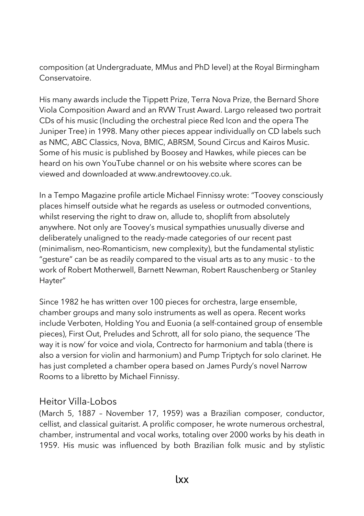composition (at Undergraduate, MMus and PhD level) at the Royal Birmingham Conservatoire.

His many awards include the Tippett Prize, Terra Nova Prize, the Bernard Shore Viola Composition Award and an RVW Trust Award. Largo released two portrait CDs of his music (Including the orchestral piece Red Icon and the opera The Juniper Tree) in 1998. Many other pieces appear individually on CD labels such as NMC, ABC Classics, Nova, BMIC, ABRSM, Sound Circus and Kairos Music. Some of his music is published by Boosey and Hawkes, while pieces can be heard on his own YouTube channel or on his website where scores can be viewed and downloaded at www.andrewtoovey.co.uk.

In a Tempo Magazine profile article Michael Finnissy wrote: "Toovey consciously places himself outside what he regards as useless or outmoded conventions, whilst reserving the right to draw on, allude to, shoplift from absolutely anywhere. Not only are Toovey's musical sympathies unusually diverse and deliberately unaligned to the ready-made categories of our recent past (minimalism, neo-Romanticism, new complexity), but the fundamental stylistic "gesture" can be as readily compared to the visual arts as to any music - to the work of Robert Motherwell, Barnett Newman, Robert Rauschenberg or Stanley Hayter"

Since 1982 he has written over 100 pieces for orchestra, large ensemble, chamber groups and many solo instruments as well as opera. Recent works include Verboten, Holding You and Euonia (a self-contained group of ensemble pieces), First Out, Preludes and Schrott, all for solo piano, the sequence 'The way it is now' for voice and viola, Contrecto for harmonium and tabla (there is also a version for violin and harmonium) and Pump Triptych for solo clarinet. He has just completed a chamber opera based on James Purdy's novel Narrow Rooms to a libretto by Michael Finnissy.

#### Heitor Villa-Lobos

(March 5, 1887 – November 17, 1959) was a Brazilian composer, conductor, cellist, and classical guitarist. A prolific composer, he wrote numerous orchestral, chamber, instrumental and vocal works, totaling over 2000 works by his death in 1959. His music was influenced by both Brazilian folk music and by stylistic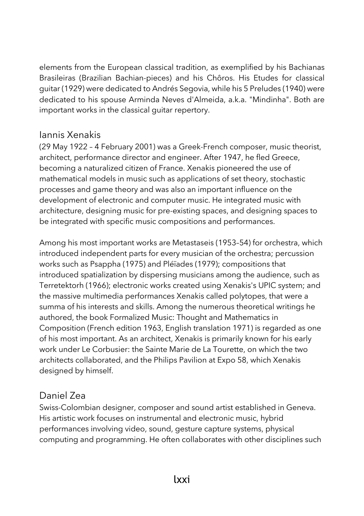elements from the European classical tradition, as exemplified by his Bachianas Brasileiras (Brazilian Bachian-pieces) and his Chôros. His Etudes for classical guitar (1929) were dedicated to Andrés Segovia, while his 5 Preludes (1940) were dedicated to his spouse Arminda Neves d'Almeida, a.k.a. "Mindinha". Both are important works in the classical guitar repertory.

#### Iannis Xenakis

(29 May 1922 – 4 February 2001) was a Greek-French composer, music theorist, architect, performance director and engineer. After 1947, he fled Greece, becoming a naturalized citizen of France. Xenakis pioneered the use of mathematical models in music such as applications of set theory, stochastic processes and game theory and was also an important influence on the development of electronic and computer music. He integrated music with architecture, designing music for pre-existing spaces, and designing spaces to be integrated with specific music compositions and performances.

Among his most important works are Metastaseis (1953–54) for orchestra, which introduced independent parts for every musician of the orchestra; percussion works such as Psappha (1975) and Pléïades (1979); compositions that introduced spatialization by dispersing musicians among the audience, such as Terretektorh (1966); electronic works created using Xenakis's UPIC system; and the massive multimedia performances Xenakis called polytopes, that were a summa of his interests and skills. Among the numerous theoretical writings he authored, the book Formalized Music: Thought and Mathematics in Composition (French edition 1963, English translation 1971) is regarded as one of his most important. As an architect, Xenakis is primarily known for his early work under Le Corbusier: the Sainte Marie de La Tourette, on which the two architects collaborated, and the Philips Pavilion at Expo 58, which Xenakis designed by himself.

#### Daniel Zea

Swiss-Colombian designer, composer and sound artist established in Geneva. His artistic work focuses on instrumental and electronic music, hybrid performances involving video, sound, gesture capture systems, physical computing and programming. He often collaborates with other disciplines such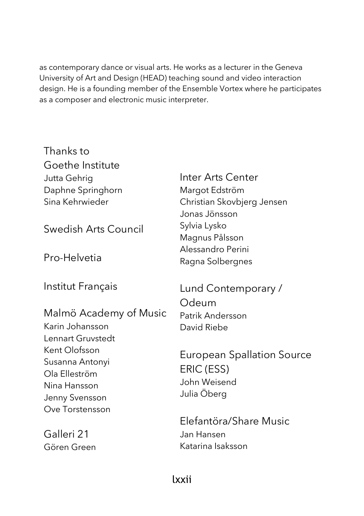as contemporary dance or visual arts. He works as a lecturer in the Geneva University of Art and Design (HEAD) teaching sound and video interaction design. He is a founding member of the Ensemble Vortex where he participates as a composer and electronic music interpreter.

Thanks to Goethe Institute Jutta Gehrig Daphne Springhorn Sina Kehrwieder

Swedish Arts Council

Pro-Helvetia

Institut Français

Malmö Academy of Music Karin Johansson Lennart Gruvstedt Kent Olofsson Susanna Antonyi Ola Elleström Nina Hansson Jenny Svensson Ove Torstensson

Galleri 21 Gören Green Inter Arts Center Margot Edström Christian Skovbjerg Jensen Jonas Jönsson Sylvia Lysko Magnus Pålsson Alessandro Perini Ragna Solbergnes

Lund Contemporary / Odeum Patrik Andersson David Riebe

European Spallation Source ERIC (ESS) John Weisend Julia Öberg

Elefantöra/Share Music Jan Hansen Katarina Isaksson

#### lxxii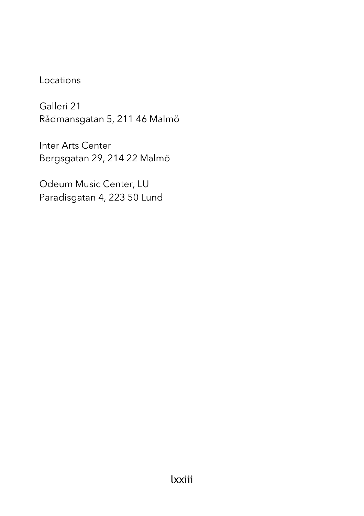## Locations

Galleri 21 Rådmansgatan 5, 211 46 Malmö

Inter Arts Center Bergsgatan 29, 214 22 Malmö

Odeum Music Center, LU Paradisgatan 4, 223 50 Lund